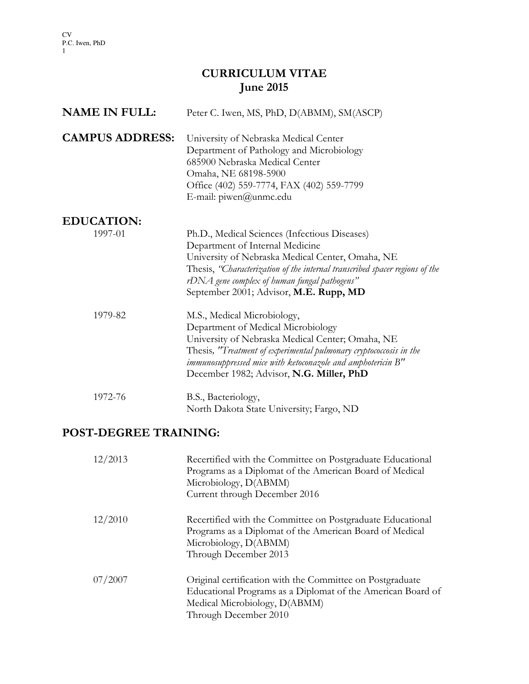# CURRICULUM VITAE June 2015

| <b>NAME IN FULL:</b>   | Peter C. Iwen, MS, PhD, D(ABMM), SM(ASCP)                                                                                                                                                                                                                                                                     |
|------------------------|---------------------------------------------------------------------------------------------------------------------------------------------------------------------------------------------------------------------------------------------------------------------------------------------------------------|
| <b>CAMPUS ADDRESS:</b> | University of Nebraska Medical Center<br>Department of Pathology and Microbiology<br>685900 Nebraska Medical Center<br>Omaha, NE 68198-5900<br>Office (402) 559-7774, FAX (402) 559-7799<br>E-mail: piwen@unmc.edu                                                                                            |
| <b>EDUCATION:</b>      |                                                                                                                                                                                                                                                                                                               |
| 1997-01                | Ph.D., Medical Sciences (Infectious Diseases)<br>Department of Internal Medicine<br>University of Nebraska Medical Center, Omaha, NE<br>Thesis, "Characterization of the internal transcribed spacer regions of the<br>rDNA gene complex of human fungal pathogens"<br>September 2001; Advisor, M.E. Rupp, MD |
| 1979-82                | M.S., Medical Microbiology,<br>Department of Medical Microbiology<br>University of Nebraska Medical Center; Omaha, NE<br>Thesis, "Treatment of experimental pulmonary cryptococcosis in the<br>immunosuppressed mice with ketoconazole and amphotericin B"<br>December 1982; Advisor, N.G. Miller, PhD        |
| 1972-76                | B.S., Bacteriology,<br>North Dakota State University; Fargo, ND                                                                                                                                                                                                                                               |

# POST-DEGREE TRAINING:

| 12/2013 | Recertified with the Committee on Postgraduate Educational<br>Programs as a Diplomat of the American Board of Medical<br>Microbiology, D(ABMM)<br>Current through December 2016    |
|---------|------------------------------------------------------------------------------------------------------------------------------------------------------------------------------------|
| 12/2010 | Recertified with the Committee on Postgraduate Educational<br>Programs as a Diplomat of the American Board of Medical<br>Microbiology, D(ABMM)<br>Through December 2013            |
| 07/2007 | Original certification with the Committee on Postgraduate<br>Educational Programs as a Diplomat of the American Board of<br>Medical Microbiology, D(ABMM)<br>Through December 2010 |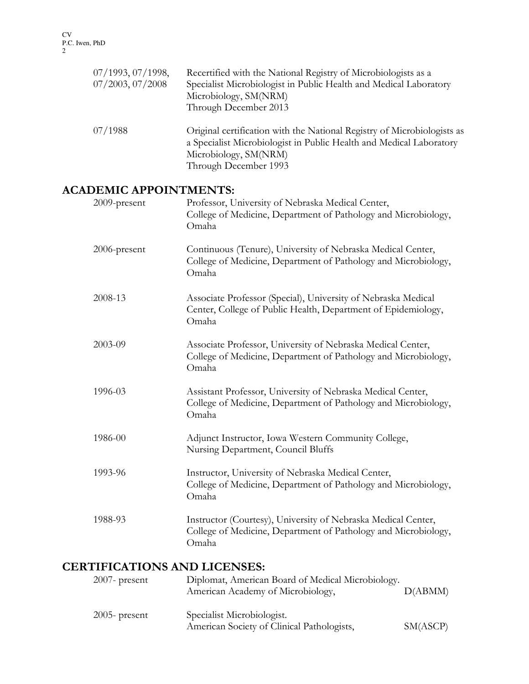| 07/1993, 07/1998,<br>$07/2003$ , $07/2008$ | Recertified with the National Registry of Microbiologists as a<br>Specialist Microbiologist in Public Health and Medical Laboratory<br>Microbiology, SM(NRM)<br>Through December 2013            |
|--------------------------------------------|--------------------------------------------------------------------------------------------------------------------------------------------------------------------------------------------------|
| 07/1988                                    | Original certification with the National Registry of Microbiologists as<br>a Specialist Microbiologist in Public Health and Medical Laboratory<br>Microbiology, SM(NRM)<br>Through December 1993 |

#### ACADEMIC APPOINTMENTS:

| 2009-present                 | Professor, University of Nebraska Medical Center,<br>College of Medicine, Department of Pathology and Microbiology,<br>Omaha             |
|------------------------------|------------------------------------------------------------------------------------------------------------------------------------------|
| 2006-present                 | Continuous (Tenure), University of Nebraska Medical Center,<br>College of Medicine, Department of Pathology and Microbiology,<br>Omaha   |
| 2008-13                      | Associate Professor (Special), University of Nebraska Medical<br>Center, College of Public Health, Department of Epidemiology,<br>Omaha  |
| 2003-09                      | Associate Professor, University of Nebraska Medical Center,<br>College of Medicine, Department of Pathology and Microbiology,<br>Omaha   |
| 1996-03                      | Assistant Professor, University of Nebraska Medical Center,<br>College of Medicine, Department of Pathology and Microbiology,<br>Omaha   |
| 1986-00                      | Adjunct Instructor, Iowa Western Community College,<br>Nursing Department, Council Bluffs                                                |
| 1993-96                      | Instructor, University of Nebraska Medical Center,<br>College of Medicine, Department of Pathology and Microbiology,<br>Omaha            |
| 1988-93                      | Instructor (Courtesy), University of Nebraska Medical Center,<br>College of Medicine, Department of Pathology and Microbiology,<br>Omaha |
| CERTIEICATIONS AND LICENSES. |                                                                                                                                          |

# **CERTIFICATIONS AND LICENSES:**<br>2007- present Diplomat, American 2007- Diplomat, American Board of Medical Microbiology.<br>American Academy of Microbiology, D(ABMM) American Academy of Microbiology, 2005- present Specialist Microbiologist. American Society of Clinical Pathologists, SM(ASCP)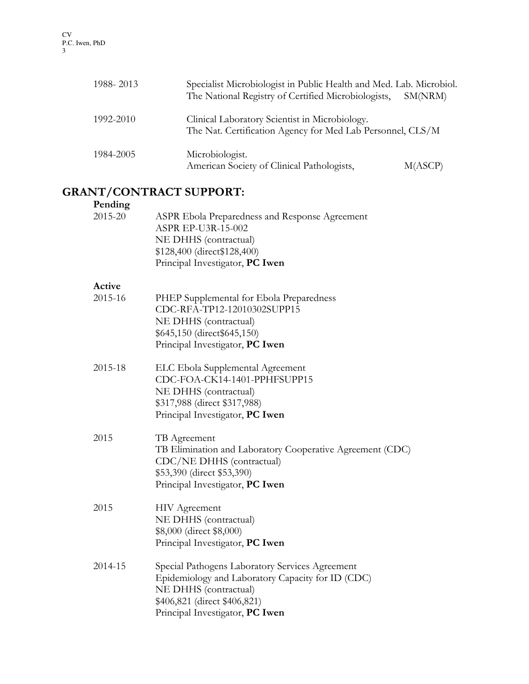| 1988-2013 | Specialist Microbiologist in Public Health and Med. Lab. Microbiol.<br>The National Registry of Certified Microbiologists, | SM(NRM) |
|-----------|----------------------------------------------------------------------------------------------------------------------------|---------|
| 1992-2010 | Clinical Laboratory Scientist in Microbiology.<br>The Nat. Certification Agency for Med Lab Personnel, CLS/M               |         |
| 1984-2005 | Microbiologist.<br>American Society of Clinical Pathologists,                                                              | M(ASCP) |

## GRANT/CONTRACT SUPPORT:

| Pending |                                                                                                                                                                                                  |
|---------|--------------------------------------------------------------------------------------------------------------------------------------------------------------------------------------------------|
| 2015-20 | ASPR Ebola Preparedness and Response Agreement<br>ASPR EP-U3R-15-002<br>NE DHHS (contractual)<br>\$128,400 (direct\$128,400)<br>Principal Investigator, PC Iwen                                  |
| Active  |                                                                                                                                                                                                  |
| 2015-16 | PHEP Supplemental for Ebola Preparedness<br>CDC-RFA-TP12-12010302SUPP15<br>NE DHHS (contractual)<br>\$645,150 (direct\$645,150)<br>Principal Investigator, PC Iwen                               |
| 2015-18 | ELC Ebola Supplemental Agreement<br>CDC-FOA-CK14-1401-PPHFSUPP15<br>NE DHHS (contractual)<br>\$317,988 (direct \$317,988)<br>Principal Investigator, PC Iwen                                     |
| 2015    | TB Agreement<br>TB Elimination and Laboratory Cooperative Agreement (CDC)<br>CDC/NE DHHS (contractual)<br>\$53,390 (direct \$53,390)<br>Principal Investigator, PC Iwen                          |
| 2015    | HIV Agreement<br>NE DHHS (contractual)<br>\$8,000 (direct \$8,000)<br>Principal Investigator, PC Iwen                                                                                            |
| 2014-15 | Special Pathogens Laboratory Services Agreement<br>Epidemiology and Laboratory Capacity for ID (CDC)<br>NE DHHS (contractual)<br>\$406,821 (direct \$406,821)<br>Principal Investigator, PC Iwen |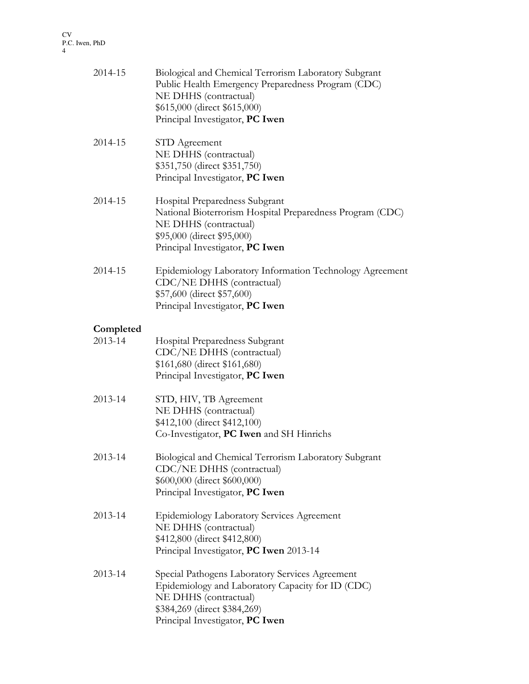| 2014-15   | Biological and Chemical Terrorism Laboratory Subgrant<br>Public Health Emergency Preparedness Program (CDC)<br>NE DHHS (contractual)<br>\$615,000 (direct \$615,000)<br>Principal Investigator, PC Iwen |
|-----------|---------------------------------------------------------------------------------------------------------------------------------------------------------------------------------------------------------|
| 2014-15   | STD Agreement<br>NE DHHS (contractual)<br>\$351,750 (direct \$351,750)<br>Principal Investigator, PC Iwen                                                                                               |
| 2014-15   | Hospital Preparedness Subgrant<br>National Bioterrorism Hospital Preparedness Program (CDC)<br>NE DHHS (contractual)<br>\$95,000 (direct \$95,000)<br>Principal Investigator, PC Iwen                   |
| 2014-15   | Epidemiology Laboratory Information Technology Agreement<br>CDC/NE DHHS (contractual)<br>\$57,600 (direct \$57,600)<br>Principal Investigator, PC Iwen                                                  |
| Completed |                                                                                                                                                                                                         |
| 2013-14   | Hospital Preparedness Subgrant<br>CDC/NE DHHS (contractual)<br>\$161,680 (direct \$161,680)<br>Principal Investigator, PC Iwen                                                                          |
| 2013-14   | STD, HIV, TB Agreement<br>NE DHHS (contractual)<br>\$412,100 (direct \$412,100)<br>Co-Investigator, PC Iwen and SH Hinrichs                                                                             |
| 2013-14   | Biological and Chemical Terrorism Laboratory Subgrant<br>CDC/NE DHHS (contractual)<br>\$600,000 (direct \$600,000)<br>Principal Investigator, PC Iwen                                                   |
| 2013-14   | Epidemiology Laboratory Services Agreement<br>NE DHHS (contractual)<br>\$412,800 (direct \$412,800)<br>Principal Investigator, PC Iwen 2013-14                                                          |
| 2013-14   | Special Pathogens Laboratory Services Agreement<br>Epidemiology and Laboratory Capacity for ID (CDC)<br>NE DHHS (contractual)<br>\$384,269 (direct \$384,269)<br>Principal Investigator, PC Iwen        |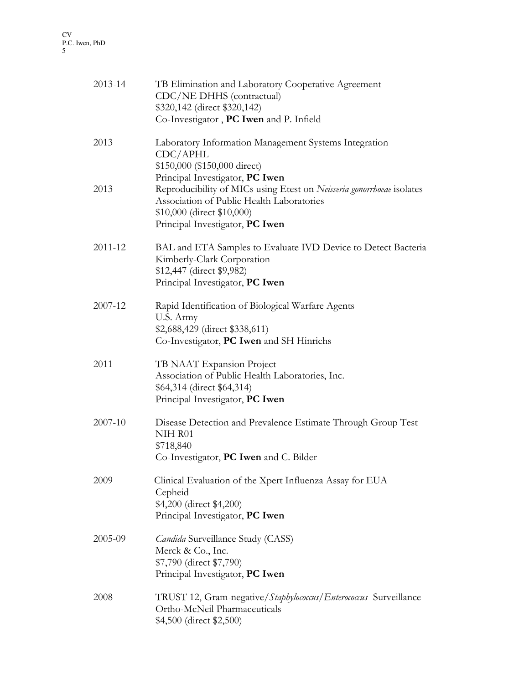| 2013-14 | TB Elimination and Laboratory Cooperative Agreement<br>CDC/NE DHHS (contractual)<br>\$320,142 (direct \$320,142)<br>Co-Investigator, PC Iwen and P. Infield                         |
|---------|-------------------------------------------------------------------------------------------------------------------------------------------------------------------------------------|
| 2013    | Laboratory Information Management Systems Integration<br>CDC/APHL<br>\$150,000 (\$150,000 direct)<br>Principal Investigator, PC Iwen                                                |
| 2013    | Reproducibility of MICs using Etest on Neisseria gonorrhoeae isolates<br>Association of Public Health Laboratories<br>\$10,000 (direct \$10,000)<br>Principal Investigator, PC Iwen |
| 2011-12 | BAL and ETA Samples to Evaluate IVD Device to Detect Bacteria<br>Kimberly-Clark Corporation<br>\$12,447 (direct \$9,982)<br>Principal Investigator, PC Iwen                         |
| 2007-12 | Rapid Identification of Biological Warfare Agents<br>U.S. Army<br>\$2,688,429 (direct \$338,611)<br>Co-Investigator, PC Iwen and SH Hinrichs                                        |
| 2011    | TB NAAT Expansion Project<br>Association of Public Health Laboratories, Inc.<br>\$64,314 (direct \$64,314)<br>Principal Investigator, PC Iwen                                       |
| 2007-10 | Disease Detection and Prevalence Estimate Through Group Test<br>NIH R01<br>\$718,840<br>Co-Investigator, PC Iwen and C. Bilder                                                      |
| 2009    | Clinical Evaluation of the Xpert Influenza Assay for EUA<br>Cepheid<br>\$4,200 (direct \$4,200)<br>Principal Investigator, PC Iwen                                                  |
| 2005-09 | <i>Candida</i> Surveillance Study (CASS)<br>Merck & Co., Inc.<br>\$7,790 (direct \$7,790)<br>Principal Investigator, PC Iwen                                                        |
| 2008    | TRUST 12, Gram-negative/Staphylococcus/Enterococcus Surveillance<br>Ortho-McNeil Pharmaceuticals<br>\$4,500 (direct \$2,500)                                                        |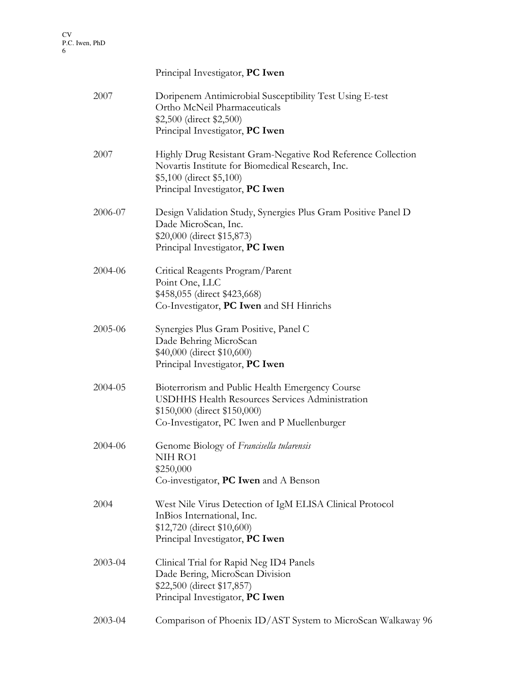# Principal Investigator, PC Iwen 2007 Doripenem Antimicrobial Susceptibility Test Using E-test Ortho McNeil Pharmaceuticals \$2,500 (direct \$2,500) Principal Investigator, PC Iwen 2007 Highly Drug Resistant Gram-Negative Rod Reference Collection Novartis Institute for Biomedical Research, Inc. \$5,100 (direct \$5,100) Principal Investigator, PC Iwen 2006-07 Design Validation Study, Synergies Plus Gram Positive Panel D Dade MicroScan, Inc. \$20,000 (direct \$15,873) Principal Investigator, PC Iwen 2004-06 Critical Reagents Program/Parent Point One, LLC \$458,055 (direct \$423,668) Co-Investigator, PC Iwen and SH Hinrichs 2005-06 Synergies Plus Gram Positive, Panel C Dade Behring MicroScan \$40,000 (direct \$10,600) Principal Investigator, PC Iwen 2004-05 Bioterrorism and Public Health Emergency Course USDHHS Health Resources Services Administration \$150,000 (direct \$150,000) Co-Investigator, PC Iwen and P Muellenburger 2004-06 Genome Biology of Francisella tularensis NIH RO1 \$250,000 Co-investigator, PC Iwen and A Benson 2004 West Nile Virus Detection of IgM ELISA Clinical Protocol InBios International, Inc. \$12,720 (direct \$10,600) Principal Investigator, PC Iwen 2003-04 Clinical Trial for Rapid Neg ID4 Panels Dade Bering, MicroScan Division \$22,500 (direct \$17,857) Principal Investigator, PC Iwen

2003-04 Comparison of Phoenix ID/AST System to MicroScan Walkaway 96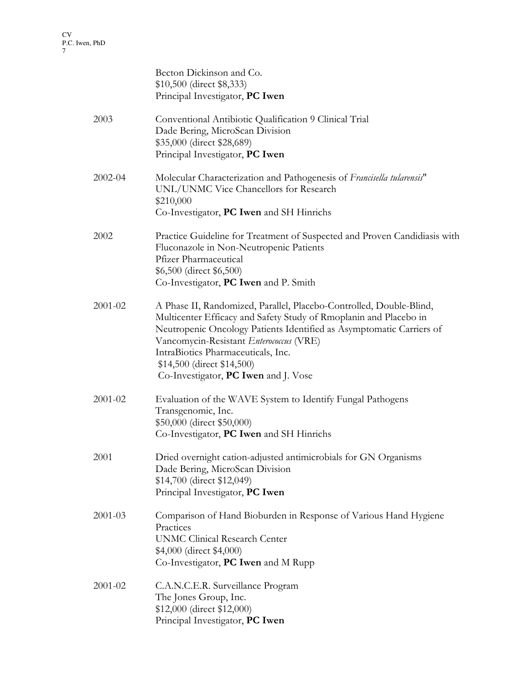|             | Becton Dickinson and Co.<br>\$10,500 (direct \$8,333)<br>Principal Investigator, PC Iwen                                                                                                                                                                                                                                                                                |
|-------------|-------------------------------------------------------------------------------------------------------------------------------------------------------------------------------------------------------------------------------------------------------------------------------------------------------------------------------------------------------------------------|
| 2003        | Conventional Antibiotic Qualification 9 Clinical Trial<br>Dade Bering, MicroScan Division<br>\$35,000 (direct \$28,689)<br>Principal Investigator, PC Iwen                                                                                                                                                                                                              |
| 2002-04     | Molecular Characterization and Pathogenesis of Francisella tularensis"<br>UNL/UNMC Vice Chancellors for Research<br>\$210,000<br>Co-Investigator, PC Iwen and SH Hinrichs                                                                                                                                                                                               |
| 2002        | Practice Guideline for Treatment of Suspected and Proven Candidiasis with<br>Fluconazole in Non-Neutropenic Patients<br><b>Pfizer Pharmaceutical</b><br>\$6,500 (direct \$6,500)<br>Co-Investigator, PC Iwen and P. Smith                                                                                                                                               |
| 2001-02     | A Phase II, Randomized, Parallel, Placebo-Controlled, Double-Blind,<br>Multicenter Efficacy and Safety Study of Rmoplanin and Placebo in<br>Neutropenic Oncology Patients Identified as Asymptomatic Carriers of<br>Vancomycin-Resistant Enterococcus (VRE)<br>IntraBiotics Pharmaceuticals, Inc.<br>\$14,500 (direct \$14,500)<br>Co-Investigator, PC Iwen and J. Vose |
| 2001-02     | Evaluation of the WAVE System to Identify Fungal Pathogens<br>Transgenomic, Inc.<br>\$50,000 (direct \$50,000)<br>Co-Investigator, PC Iwen and SH Hinrichs                                                                                                                                                                                                              |
| 2001        | Dried overnight cation-adjusted antimicrobials for GN Organisms<br>Dade Bering, MicroScan Division<br>\$14,700 (direct \$12,049)<br>Principal Investigator, PC Iwen                                                                                                                                                                                                     |
| $2001 - 03$ | Comparison of Hand Bioburden in Response of Various Hand Hygiene<br>Practices<br><b>UNMC Clinical Research Center</b><br>\$4,000 (direct \$4,000)<br>Co-Investigator, PC Iwen and M Rupp                                                                                                                                                                                |
| 2001-02     | C.A.N.C.E.R. Surveillance Program<br>The Jones Group, Inc.<br>\$12,000 (direct \$12,000)<br>Principal Investigator, PC Iwen                                                                                                                                                                                                                                             |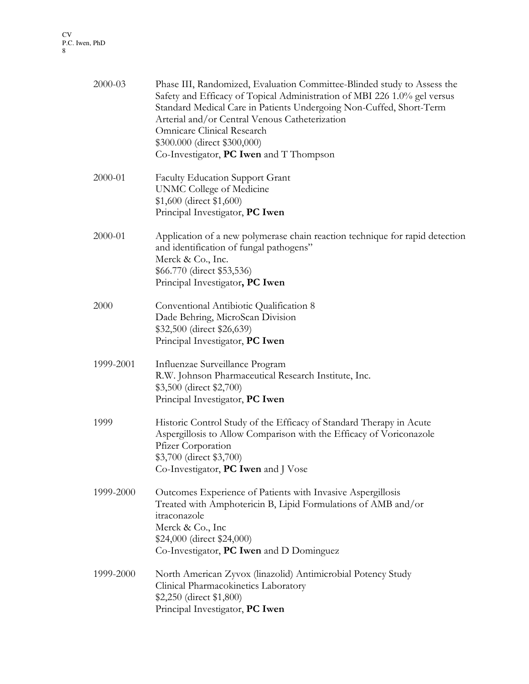|      | 2000-03   | Phase III, Randomized, Evaluation Committee-Blinded study to Assess the<br>Safety and Efficacy of Topical Administration of MBI 226 1.0% gel versus<br>Standard Medical Care in Patients Undergoing Non-Cuffed, Short-Term<br>Arterial and/or Central Venous Catheterization<br>Omnicare Clinical Research<br>\$300.000 (direct \$300,000)<br>Co-Investigator, PC Iwen and T Thompson |
|------|-----------|---------------------------------------------------------------------------------------------------------------------------------------------------------------------------------------------------------------------------------------------------------------------------------------------------------------------------------------------------------------------------------------|
|      | 2000-01   | <b>Faculty Education Support Grant</b><br><b>UNMC College of Medicine</b><br>\$1,600 (direct \$1,600)<br>Principal Investigator, PC Iwen                                                                                                                                                                                                                                              |
|      | 2000-01   | Application of a new polymerase chain reaction technique for rapid detection<br>and identification of fungal pathogens"<br>Merck & Co., Inc.<br>\$66.770 (direct \$53,536)<br>Principal Investigator, PC Iwen                                                                                                                                                                         |
| 2000 |           | Conventional Antibiotic Qualification 8<br>Dade Behring, MicroScan Division<br>\$32,500 (direct \$26,639)<br>Principal Investigator, PC Iwen                                                                                                                                                                                                                                          |
|      | 1999-2001 | Influenzae Surveillance Program<br>R.W. Johnson Pharmaceutical Research Institute, Inc.<br>\$3,500 (direct \$2,700)<br>Principal Investigator, PC Iwen                                                                                                                                                                                                                                |
| 1999 |           | Historic Control Study of the Efficacy of Standard Therapy in Acute<br>Aspergillosis to Allow Comparison with the Efficacy of Voriconazole<br>Pfizer Corporation<br>\$3,700 (direct \$3,700)<br>Co-Investigator, PC Iwen and J Vose                                                                                                                                                   |
|      | 1999-2000 | Outcomes Experience of Patients with Invasive Aspergillosis<br>Treated with Amphotericin B, Lipid Formulations of AMB and/or<br>itraconazole<br>Merck & Co., Inc<br>\$24,000 (direct \$24,000)<br>Co-Investigator, PC Iwen and D Dominguez                                                                                                                                            |
|      | 1999-2000 | North American Zyvox (linazolid) Antimicrobial Potency Study<br>Clinical Pharmacokinetics Laboratory<br>\$2,250 (direct \$1,800)<br>Principal Investigator, PC Iwen                                                                                                                                                                                                                   |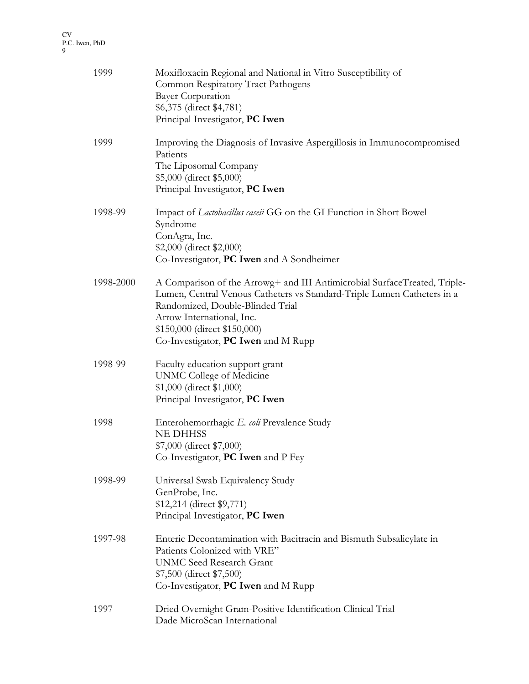| 1999      | Moxifloxacin Regional and National in Vitro Susceptibility of<br>Common Respiratory Tract Pathogens<br><b>Bayer Corporation</b><br>\$6,375 (direct \$4,781)<br>Principal Investigator, PC Iwen                                                                                               |
|-----------|----------------------------------------------------------------------------------------------------------------------------------------------------------------------------------------------------------------------------------------------------------------------------------------------|
| 1999      | Improving the Diagnosis of Invasive Aspergillosis in Immunocompromised<br>Patients<br>The Liposomal Company<br>\$5,000 (direct \$5,000)<br>Principal Investigator, PC Iwen                                                                                                                   |
| 1998-99   | Impact of Lactobacillus caseii GG on the GI Function in Short Bowel<br>Syndrome<br>ConAgra, Inc.<br>\$2,000 (direct \$2,000)<br>Co-Investigator, <b>PC Iwen</b> and A Sondheimer                                                                                                             |
| 1998-2000 | A Comparison of the Arrowg+ and III Antimicrobial SurfaceTreated, Triple-<br>Lumen, Central Venous Catheters vs Standard-Triple Lumen Catheters in a<br>Randomized, Double-Blinded Trial<br>Arrow International, Inc.<br>\$150,000 (direct \$150,000)<br>Co-Investigator, PC Iwen and M Rupp |
| 1998-99   | Faculty education support grant<br>UNMC College of Medicine<br>\$1,000 (direct \$1,000)<br>Principal Investigator, PC Iwen                                                                                                                                                                   |
| 1998      | Enterohemorrhagic E. coli Prevalence Study<br><b>NE DHHSS</b><br>\$7,000 (direct \$7,000)<br>Co-Investigator, PC Iwen and P Fey                                                                                                                                                              |
| 1998-99   | Universal Swab Equivalency Study<br>GenProbe, Inc.<br>\$12,214 (direct \$9,771)<br>Principal Investigator, PC Iwen                                                                                                                                                                           |
| 1997-98   | Enteric Decontamination with Bacitracin and Bismuth Subsalicylate in<br>Patients Colonized with VRE"<br><b>UNMC Seed Research Grant</b><br>\$7,500 (direct \$7,500)<br>Co-Investigator, PC Iwen and M Rupp                                                                                   |
| 1997      | Dried Overnight Gram-Positive Identification Clinical Trial<br>Dade MicroScan International                                                                                                                                                                                                  |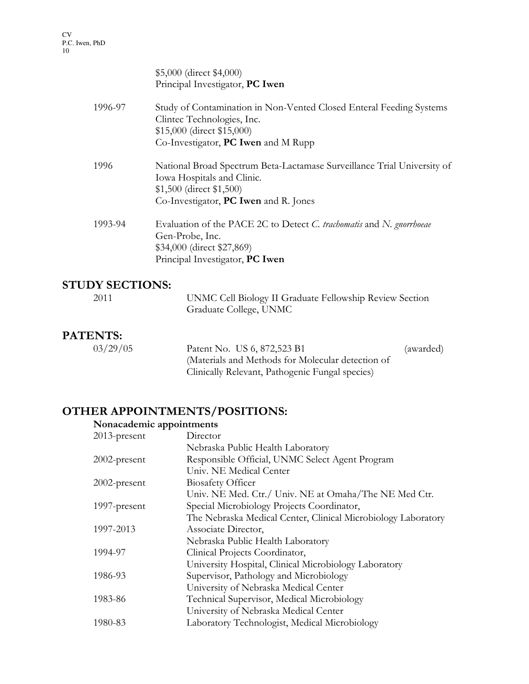|         | \$5,000 (direct \$4,000)<br>Principal Investigator, PC Iwen                                                                                                                   |
|---------|-------------------------------------------------------------------------------------------------------------------------------------------------------------------------------|
| 1996-97 | Study of Contamination in Non-Vented Closed Enteral Feeding Systems<br>Clintec Technologies, Inc.<br>\$15,000 (direct \$15,000)<br>Co-Investigator, <b>PC Iwen</b> and M Rupp |
|         |                                                                                                                                                                               |
| 1996    | National Broad Spectrum Beta-Lactamase Surveillance Trial University of<br>Iowa Hospitals and Clinic.<br>\$1,500 (direct \$1,500)                                             |
|         | Co-Investigator, PC Iwen and R. Jones                                                                                                                                         |
| 1993-94 | Evaluation of the PACE 2C to Detect C. trachomatis and N. gnorrhoeae<br>Gen-Probe, Inc.<br>\$34,000 (direct \$27,869)<br>Principal Investigator, PC Iwen                      |
|         |                                                                                                                                                                               |

## STUDY SECTIONS:

| 2011 | UNMC Cell Biology II Graduate Fellowship Review Section |
|------|---------------------------------------------------------|
|      | Graduate College, UNMC                                  |

## PATENTS:

| 03/29/05 | Patent No. US 6, 872,523 B1                       | (awarded) |
|----------|---------------------------------------------------|-----------|
|          | (Materials and Methods for Molecular detection of |           |
|          | Clinically Relevant, Pathogenic Fungal species)   |           |

# OTHER APPOINTMENTS/POSITIONS:

## Nonacademic appointments

| Director                                                      |
|---------------------------------------------------------------|
| Nebraska Public Health Laboratory                             |
| Responsible Official, UNMC Select Agent Program               |
| Univ. NE Medical Center                                       |
| <b>Biosafety Officer</b>                                      |
| Univ. NE Med. Ctr./ Univ. NE at Omaha/The NE Med Ctr.         |
| Special Microbiology Projects Coordinator,                    |
| The Nebraska Medical Center, Clinical Microbiology Laboratory |
| Associate Director,                                           |
| Nebraska Public Health Laboratory                             |
| Clinical Projects Coordinator,                                |
| University Hospital, Clinical Microbiology Laboratory         |
| Supervisor, Pathology and Microbiology                        |
| University of Nebraska Medical Center                         |
| Technical Supervisor, Medical Microbiology                    |
| University of Nebraska Medical Center                         |
| Laboratory Technologist, Medical Microbiology                 |
|                                                               |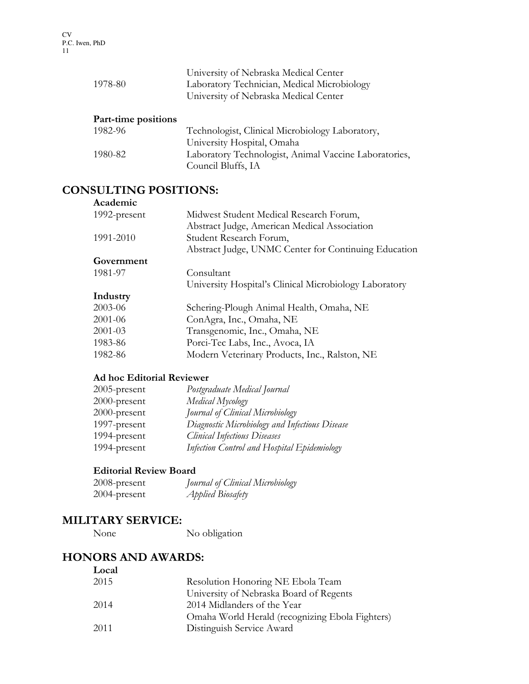| 1978-80             | University of Nebraska Medical Center<br>Laboratory Technician, Medical Microbiology<br>University of Nebraska Medical Center |
|---------------------|-------------------------------------------------------------------------------------------------------------------------------|
| Part-time positions |                                                                                                                               |
| 1982-96             | Technologist, Clinical Microbiology Laboratory,                                                                               |
|                     | University Hospital, Omaha                                                                                                    |
| 1980-82             | Laboratory Technologist, Animal Vaccine Laboratories,                                                                         |
|                     | Council Bluffs, IA                                                                                                            |

### CONSULTING POSITIONS:

#### Academic

| 1992-present | Midwest Student Medical Research Forum,                |
|--------------|--------------------------------------------------------|
|              | Abstract Judge, American Medical Association           |
| 1991-2010    | Student Research Forum,                                |
|              | Abstract Judge, UNMC Center for Continuing Education   |
| Government   |                                                        |
| 1981-97      | Consultant                                             |
|              | University Hospital's Clinical Microbiology Laboratory |
| Industry     |                                                        |
| 2003-06      | Schering-Plough Animal Health, Omaha, NE               |
| 2001-06      | ConAgra, Inc., Omaha, NE                               |
| $2001 - 03$  | Transgenomic, Inc., Omaha, NE                          |
| 1983-86      | Porci-Tec Labs, Inc., Avoca, IA                        |
| 1982-86      | Modern Veterinary Products, Inc., Ralston, NE          |
|              |                                                        |

#### Ad hoc Editorial Reviewer

| $2005$ -present | Postgraduate Medical Journal                   |
|-----------------|------------------------------------------------|
| 2000-present    | Medical Mycology                               |
| 2000-present    | Journal of Clinical Microbiology               |
| 1997-present    | Diagnostic Microbiology and Infectious Disease |
| 1994-present    | <b>Clinical Infectious Diseases</b>            |
| 1994-present    | Infection Control and Hospital Epidemiology    |

#### Editorial Review Board

| $2008$ -present | Journal of Clinical Microbiology |
|-----------------|----------------------------------|
| 2004-present    | <i><b>Applied Biosafety</b></i>  |

# MILITARY SERVICE:<br>None

No obligation

## HONORS AND AWARDS:

| Local |                                                 |
|-------|-------------------------------------------------|
| 2015  | Resolution Honoring NE Ebola Team               |
|       | University of Nebraska Board of Regents         |
| 2014  | 2014 Midlanders of the Year                     |
|       | Omaha World Herald (recognizing Ebola Fighters) |
| 2011  | Distinguish Service Award                       |
|       |                                                 |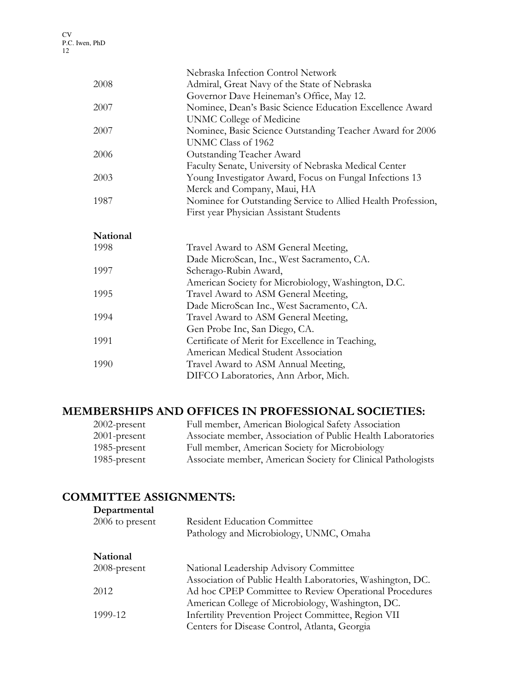|          | Nebraska Infection Control Network                                                          |
|----------|---------------------------------------------------------------------------------------------|
| 2008     | Admiral, Great Navy of the State of Nebraska                                                |
|          | Governor Dave Heineman's Office, May 12.                                                    |
| 2007     | Nominee, Dean's Basic Science Education Excellence Award                                    |
|          | UNMC College of Medicine                                                                    |
| 2007     | Nominee, Basic Science Outstanding Teacher Award for 2006                                   |
|          | UNMC Class of 1962                                                                          |
| 2006     | Outstanding Teacher Award                                                                   |
|          | Faculty Senate, University of Nebraska Medical Center                                       |
| 2003     | Young Investigator Award, Focus on Fungal Infections 13                                     |
|          | Merck and Company, Maui, HA                                                                 |
| 1987     | Nominee for Outstanding Service to Allied Health Profession,                                |
|          | First year Physician Assistant Students                                                     |
| National |                                                                                             |
| 1998     | Travel Award to ASM General Meeting,                                                        |
|          |                                                                                             |
|          |                                                                                             |
| 1997     | Dade MicroScan, Inc., West Sacramento, CA.<br>Scherago-Rubin Award,                         |
|          |                                                                                             |
| 1995     | American Society for Microbiology, Washington, D.C.<br>Travel Award to ASM General Meeting, |
|          | Dade MicroScan Inc., West Sacramento, CA.                                                   |
| 1994     | Travel Award to ASM General Meeting,                                                        |
|          | Gen Probe Inc, San Diego, CA.                                                               |
| 1991     | Certificate of Merit for Excellence in Teaching,                                            |
|          | American Medical Student Association                                                        |
| 1990     | Travel Award to ASM Annual Meeting,                                                         |
|          | DIFCO Laboratories, Ann Arbor, Mich.                                                        |

## MEMBERSHIPS AND OFFICES IN PROFESSIONAL SOCIETIES:

| $2002$ -present | Full member, American Biological Safety Association          |
|-----------------|--------------------------------------------------------------|
| $2001$ -present | Associate member, Association of Public Health Laboratories  |
| 1985-present    | Full member, American Society for Microbiology               |
| 1985-present    | Associate member, American Society for Clinical Pathologists |

## COMMITTEE ASSIGNMENTS:

| Departmental    |                                                            |
|-----------------|------------------------------------------------------------|
| 2006 to present | <b>Resident Education Committee</b>                        |
|                 | Pathology and Microbiology, UNMC, Omaha                    |
| National        |                                                            |
| $2008$ -present | National Leadership Advisory Committee                     |
|                 | Association of Public Health Laboratories, Washington, DC. |
| 2012            | Ad hoc CPEP Committee to Review Operational Procedures     |
|                 | American College of Microbiology, Washington, DC.          |
| 1999-12         | Infertility Prevention Project Committee, Region VII       |
|                 | Centers for Disease Control, Atlanta, Georgia              |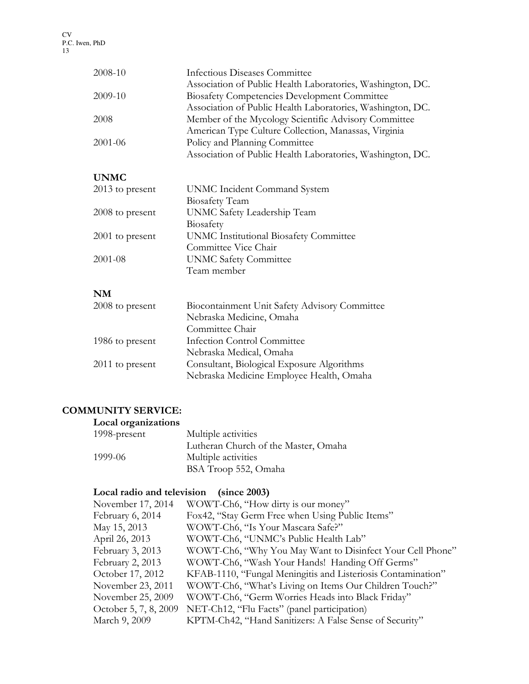| 2008-10           | Infectious Diseases Committee                              |
|-------------------|------------------------------------------------------------|
|                   | Association of Public Health Laboratories, Washington, DC. |
| 2009-10           | <b>Biosafety Competencies Development Committee</b>        |
|                   | Association of Public Health Laboratories, Washington, DC. |
| 2008              | Member of the Mycology Scientific Advisory Committee       |
|                   | American Type Culture Collection, Manassas, Virginia       |
| 2001-06           | Policy and Planning Committee                              |
|                   | Association of Public Health Laboratories, Washington, DC. |
|                   |                                                            |
| <b>UNMC</b>       |                                                            |
| $2013$ to present | UNMC Incident Command System                               |
|                   | <b>Biosafety Team</b>                                      |
| 2008 to present   | UNMC Safety Leadership Team                                |
|                   | Biosafety                                                  |
| $2001$ to present | <b>UNMC Institutional Biosafety Committee</b>              |
|                   | Committee Vice Chair                                       |
| 2001-08           | <b>UNMC Safety Committee</b>                               |
|                   | Team member                                                |
| NM                |                                                            |
|                   |                                                            |
| 2008 to present   | Biocontainment Unit Safety Advisory Committee              |
|                   | Nebraska Medicine, Omaha                                   |
|                   | Committee Chair                                            |
| 1986 to present   | <b>Infection Control Committee</b>                         |
|                   | Nebraska Medical, Omaha                                    |
| 2011 to present   | Consultant, Biological Exposure Algorithms                 |

## Nebraska Medicine Employee Health, Omaha

## COMMUNITY SERVICE:

| Local organizations |                                      |
|---------------------|--------------------------------------|
| 1998-present        | Multiple activities                  |
|                     | Lutheran Church of the Master, Omaha |
| 1999-06             | Multiple activities                  |
|                     | BSA Troop 552, Omaha                 |

## Local radio and television (since 2003)

| November 17, 2014     | WOWT-Ch6, "How dirty is our money"                           |
|-----------------------|--------------------------------------------------------------|
| February 6, 2014      | Fox42, "Stay Germ Free when Using Public Items"              |
| May 15, 2013          | WOWT-Ch6, "Is Your Mascara Safe?"                            |
| April 26, 2013        | WOWT-Ch6, "UNMC's Public Health Lab"                         |
| February 3, 2013      | WOWT-Ch6, "Why You May Want to Disinfect Your Cell Phone"    |
| February 2, 2013      | WOWT-Ch6, "Wash Your Hands! Handing Off Germs"               |
| October 17, 2012      | KFAB-1110, "Fungal Meningitis and Listeriosis Contamination" |
| November 23, 2011     | WOWT-Ch6, "What's Living on Items Our Children Touch?"       |
| November 25, 2009     | WOWT-Ch6, "Germ Worries Heads into Black Friday"             |
| October 5, 7, 8, 2009 | NET-Ch12, "Flu Facts" (panel participation)                  |
| March 9, 2009         | KPTM-Ch42, "Hand Sanitizers: A False Sense of Security"      |
|                       |                                                              |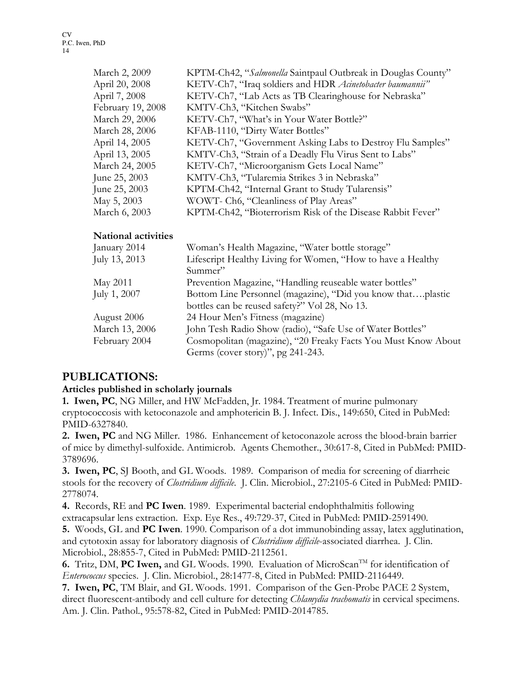| March 2, 2009     | KPTM-Ch42, "Salmonella Saintpaul Outbreak in Douglas County" |
|-------------------|--------------------------------------------------------------|
| April 20, 2008    | KETV-Ch7, "Iraq soldiers and HDR Acinetobacter baumannii"    |
| April 7, 2008     | KETV-Ch7, "Lab Acts as TB Clearinghouse for Nebraska"        |
| February 19, 2008 | KMTV-Ch3, "Kitchen Swabs"                                    |
| March 29, 2006    | KETV-Ch7, "What's in Your Water Bottle?"                     |
| March 28, 2006    | KFAB-1110, "Dirty Water Bottles"                             |
| April 14, 2005    | KETV-Ch7, "Government Asking Labs to Destroy Flu Samples"    |
| April 13, 2005    | KMTV-Ch3, "Strain of a Deadly Flu Virus Sent to Labs"        |
| March 24, 2005    | KETV-Ch7, "Microorganism Gets Local Name"                    |
| June 25, 2003     | KMTV-Ch3, "Tularemia Strikes 3 in Nebraska"                  |
| June 25, 2003     | KPTM-Ch42, "Internal Grant to Study Tularensis"              |
| May 5, 2003       | WOWT- Ch6, "Cleanliness of Play Areas"                       |
| March 6, 2003     | KPTM-Ch42, "Bioterrorism Risk of the Disease Rabbit Fever"   |
|                   |                                                              |

#### National activities

| January 2014   | Woman's Health Magazine, "Water bottle storage"               |
|----------------|---------------------------------------------------------------|
| July 13, 2013  | Lifescript Healthy Living for Women, "How to have a Healthy   |
|                | Summer"                                                       |
| May 2011       | Prevention Magazine, "Handling reuseable water bottles"       |
| July 1, 2007   | Bottom Line Personnel (magazine), "Did you know thatplastic   |
|                | bottles can be reused safety?" Vol 28, No 13.                 |
| August 2006    | 24 Hour Men's Fitness (magazine)                              |
| March 13, 2006 | John Tesh Radio Show (radio), "Safe Use of Water Bottles"     |
| February 2004  | Cosmopolitan (magazine), "20 Freaky Facts You Must Know About |
|                | Germs (cover story)", pg 241-243.                             |
|                |                                                               |

## PUBLICATIONS:

#### Articles published in scholarly journals

1. Iwen, PC, NG Miller, and HW McFadden, Jr. 1984. Treatment of murine pulmonary cryptococcosis with ketoconazole and amphotericin B. J. Infect. Dis., 149:650, Cited in PubMed: PMID-6327840.

2. Iwen, PC and NG Miller. 1986. Enhancement of ketoconazole across the blood-brain barrier of mice by dimethyl-sulfoxide. Antimicrob. Agents Chemother., 30:617-8, Cited in PubMed: PMID-3789696.

3. Iwen, PC, SJ Booth, and GL Woods. 1989. Comparison of media for screening of diarrheic stools for the recovery of Clostridium difficile. J. Clin. Microbiol., 27:2105-6 Cited in PubMed: PMID-2778074.

4. Records, RE and PC Iwen. 1989. Experimental bacterial endophthalmitis following extracapsular lens extraction. Exp. Eye Res., 49:729-37, Cited in PubMed: PMID-2591490.

5. Woods, GL and PC Iwen. 1990. Comparison of a dot immunobinding assay, latex agglutination, and cytotoxin assay for laboratory diagnosis of Clostridium difficile-associated diarrhea. J. Clin. Microbiol., 28:855-7, Cited in PubMed: PMID-2112561.

6. Tritz, DM, PC Iwen, and GL Woods. 1990. Evaluation of MicroScan<sup>TM</sup> for identification of Enterococcus species. J. Clin. Microbiol., 28:1477-8, Cited in PubMed: PMID-2116449.

7. Iwen, PC, TM Blair, and GL Woods. 1991. Comparison of the Gen-Probe PACE 2 System, direct fluorescent-antibody and cell culture for detecting *Chlamydia trachomatis* in cervical specimens. Am. J. Clin. Pathol., 95:578-82, Cited in PubMed: PMID-2014785.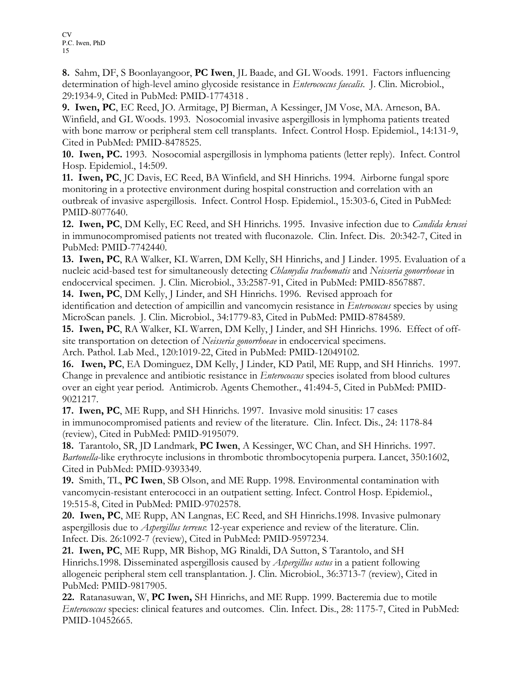8. Sahm, DF, S Boonlayangoor, PC Iwen, JL Baade, and GL Woods. 1991. Factors influencing determination of high-level amino glycoside resistance in *Enterococcus faecalis*. J. Clin. Microbiol., 29:1934-9, Cited in PubMed: PMID-1774318 .

9. Iwen, PC, EC Reed, JO. Armitage, PJ Bierman, A Kessinger, JM Vose, MA. Arneson, BA. Winfield, and GL Woods. 1993. Nosocomial invasive aspergillosis in lymphoma patients treated with bone marrow or peripheral stem cell transplants. Infect. Control Hosp. Epidemiol., 14:131-9, Cited in PubMed: PMID-8478525.

10. Iwen, PC. 1993. Nosocomial aspergillosis in lymphoma patients (letter reply). Infect. Control Hosp. Epidemiol., 14:509.

11. Iwen, PC, JC Davis, EC Reed, BA Winfield, and SH Hinrichs. 1994. Airborne fungal spore monitoring in a protective environment during hospital construction and correlation with an outbreak of invasive aspergillosis. Infect. Control Hosp. Epidemiol., 15:303-6, Cited in PubMed: PMID-8077640.

12. Iwen, PC, DM Kelly, EC Reed, and SH Hinrichs. 1995. Invasive infection due to *Candida krusei* in immunocompromised patients not treated with fluconazole. Clin. Infect. Dis. 20:342-7, Cited in PubMed: PMID-7742440.

13. Iwen, PC, RA Walker, KL Warren, DM Kelly, SH Hinrichs, and J Linder. 1995. Evaluation of a nucleic acid-based test for simultaneously detecting *Chlamydia trachomatis* and Neisseria gonorrhoeae in endocervical specimen. J. Clin. Microbiol., 33:2587-91, Cited in PubMed: PMID-8567887.

14. Iwen, PC, DM Kelly, J Linder, and SH Hinrichs. 1996. Revised approach for identification and detection of ampicillin and vancomycin resistance in *Enterococcus* species by using MicroScan panels. J. Clin. Microbiol., 34:1779-83, Cited in PubMed: PMID-8784589.

15. Iwen, PC, RA Walker, KL Warren, DM Kelly, J Linder, and SH Hinrichs. 1996. Effect of offsite transportation on detection of Neisseria gonorrhoeae in endocervical specimens.

Arch. Pathol. Lab Med., 120:1019-22, Cited in PubMed: PMID-12049102. 16. Iwen, PC, EA Dominguez, DM Kelly, J Linder, KD Patil, ME Rupp, and SH Hinrichs. 1997.

Change in prevalence and antibiotic resistance in *Enterococcus* species isolated from blood cultures over an eight year period. Antimicrob. Agents Chemother., 41:494-5, Cited in PubMed: PMID-9021217.

17. Iwen, PC, ME Rupp, and SH Hinrichs. 1997. Invasive mold sinusitis: 17 cases in immunocompromised patients and review of the literature. Clin. Infect. Dis., 24: 1178-84 (review), Cited in PubMed: PMID-9195079.

18. Tarantolo, SR, JD Landmark, PC Iwen, A Kessinger, WC Chan, and SH Hinrichs. 1997. Bartonella-like erythrocyte inclusions in thrombotic thrombocytopenia purpera. Lancet, 350:1602, Cited in PubMed: PMID-9393349.

19. Smith, TL, PC Iwen, SB Olson, and ME Rupp. 1998. Environmental contamination with vancomycin-resistant enterococci in an outpatient setting. Infect. Control Hosp. Epidemiol., 19:515-8, Cited in PubMed: PMID-9702578.

20. Iwen, PC, ME Rupp, AN Langnas, EC Reed, and SH Hinrichs.1998. Invasive pulmonary aspergillosis due to Aspergillus terreus: 12-year experience and review of the literature. Clin. Infect. Dis. 26:1092-7 (review), Cited in PubMed: PMID-9597234.

21. Iwen, PC, ME Rupp, MR Bishop, MG Rinaldi, DA Sutton, S Tarantolo, and SH Hinrichs.1998. Disseminated aspergillosis caused by *Aspergillus ustus* in a patient following allogeneic peripheral stem cell transplantation. J. Clin. Microbiol., 36:3713-7 (review), Cited in PubMed: PMID-9817905.

22. Ratanasuwan, W, PC Iwen, SH Hinrichs, and ME Rupp. 1999. Bacteremia due to motile Enterococcus species: clinical features and outcomes. Clin. Infect. Dis., 28: 1175-7, Cited in PubMed: PMID-10452665.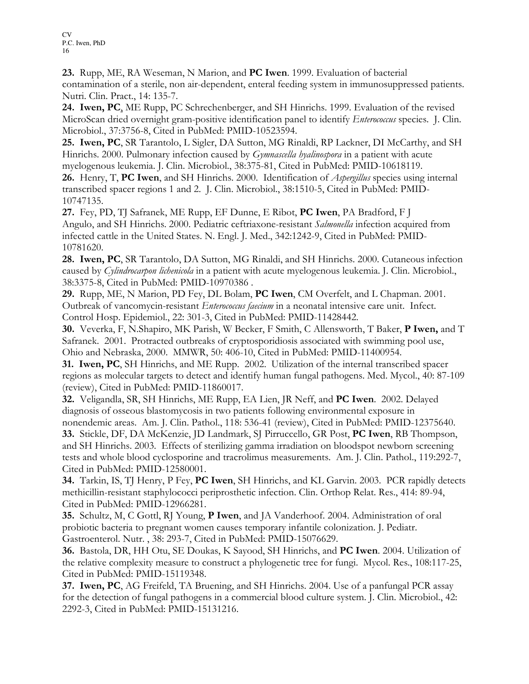23. Rupp, ME, RA Weseman, N Marion, and PC Iwen. 1999. Evaluation of bacterial contamination of a sterile, non air-dependent, enteral feeding system in immunosuppressed patients. Nutri. Clin. Pract., 14: 135-7.

24. Iwen, PC, ME Rupp, PC Schrechenberger, and SH Hinrichs. 1999. Evaluation of the revised MicroScan dried overnight gram-positive identification panel to identify *Enterococcus* species. J. Clin. Microbiol., 37:3756-8, Cited in PubMed: PMID-10523594.

25. Iwen, PC, SR Tarantolo, L Sigler, DA Sutton, MG Rinaldi, RP Lackner, DI McCarthy, and SH Hinrichs. 2000. Pulmonary infection caused by *Gymnascella hyalinospora* in a patient with acute myelogenous leukemia. J. Clin. Microbiol., 38:375-81, Cited in PubMed: PMID-10618119.

26. Henry, T, PC Iwen, and SH Hinrichs. 2000. Identification of *Aspergillus* species using internal transcribed spacer regions 1 and 2. J. Clin. Microbiol., 38:1510-5, Cited in PubMed: PMID-10747135.

27. Fey, PD, TJ Safranek, ME Rupp, EF Dunne, E Ribot, PC Iwen, PA Bradford, F J Angulo, and SH Hinrichs. 2000. Pediatric ceftriaxone-resistant Salmonella infection acquired from infected cattle in the United States. N. Engl. J. Med., 342:1242-9, Cited in PubMed: PMID-10781620.

28. Iwen, PC, SR Tarantolo, DA Sutton, MG Rinaldi, and SH Hinrichs. 2000. Cutaneous infection caused by *Cylindrocarpon lichenicola* in a patient with acute myelogenous leukemia. J. Clin. Microbiol., 38:3375-8, Cited in PubMed: PMID-10970386 .

29. Rupp, ME, N Marion, PD Fey, DL Bolam, PC Iwen, CM Overfelt, and L Chapman. 2001. Outbreak of vancomycin-resistant Enterococcus faecium in a neonatal intensive care unit. Infect. Control Hosp. Epidemiol., 22: 301-3, Cited in PubMed: PMID-11428442.

30. Veverka, F, N.Shapiro, MK Parish, W Becker, F Smith, C Allensworth, T Baker, P Iwen, and T Safranek. 2001. Protracted outbreaks of cryptosporidiosis associated with swimming pool use, Ohio and Nebraska, 2000. MMWR, 50: 406-10, Cited in PubMed: PMID-11400954.

31. Iwen, PC, SH Hinrichs, and ME Rupp. 2002. Utilization of the internal transcribed spacer regions as molecular targets to detect and identify human fungal pathogens. Med. Mycol., 40: 87-109 (review), Cited in PubMed: PMID-11860017.

32. Veligandla, SR, SH Hinrichs, ME Rupp, EA Lien, JR Neff, and PC Iwen. 2002. Delayed diagnosis of osseous blastomycosis in two patients following environmental exposure in

nonendemic areas. Am. J. Clin. Pathol., 118: 536-41 (review), Cited in PubMed: PMID-12375640. 33. Stickle, DF, DA McKenzie, JD Landmark, SJ Pirruccello, GR Post, PC Iwen, RB Thompson, and SH Hinrichs. 2003. Effects of sterilizing gamma irradiation on bloodspot newborn screening tests and whole blood cyclosporine and tracrolimus measurements. Am. J. Clin. Pathol., 119:292-7, Cited in PubMed: PMID-12580001.

34. Tarkin, IS, TJ Henry, P Fey, PC Iwen, SH Hinrichs, and KL Garvin. 2003. PCR rapidly detects methicillin-resistant staphylococci periprosthetic infection. Clin. Orthop Relat. Res., 414: 89-94, Cited in PubMed: PMID-12966281.

35. Schultz, M, C Gottl, RJ Young, P Iwen, and JA Vanderhoof. 2004. Administration of oral probiotic bacteria to pregnant women causes temporary infantile colonization. J. Pediatr. Gastroenterol. Nutr. , 38: 293-7, Cited in PubMed: PMID-15076629.

36. Bastola, DR, HH Otu, SE Doukas, K Sayood, SH Hinrichs, and PC Iwen. 2004. Utilization of the relative complexity measure to construct a phylogenetic tree for fungi. Mycol. Res., 108:117-25, Cited in PubMed: PMID-15119348.

37. Iwen, PC, AG Freifeld, TA Bruening, and SH Hinrichs. 2004. Use of a panfungal PCR assay for the detection of fungal pathogens in a commercial blood culture system. J. Clin. Microbiol., 42: 2292-3, Cited in PubMed: PMID-15131216.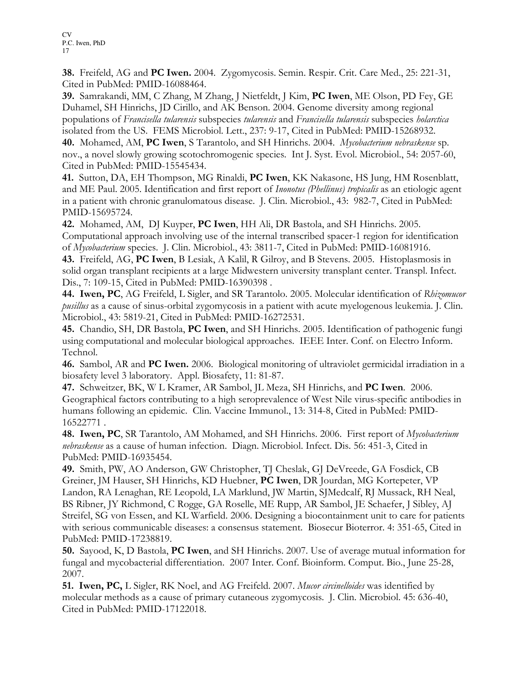38. Freifeld, AG and PC Iwen. 2004. Zygomycosis. Semin. Respir. Crit. Care Med., 25: 221-31, Cited in PubMed: PMID-16088464.

39. Samrakandi, MM, C Zhang, M Zhang, J Nietfeldt, J Kim, PC Iwen, ME Olson, PD Fey, GE Duhamel, SH Hinrichs, JD Cirillo, and AK Benson. 2004. Genome diversity among regional populations of Francisella tularensis subspecies tularensis and Francisella tularensis subspecies holarctica isolated from the US. FEMS Microbiol. Lett., 237: 9-17, Cited in PubMed: PMID-15268932.

40. Mohamed, AM, PC Iwen, S Tarantolo, and SH Hinrichs. 2004. Mycobacterium nebraskense sp. nov., a novel slowly growing scotochromogenic species. Int J. Syst. Evol. Microbiol., 54: 2057-60, Cited in PubMed: PMID-15545434.

41. Sutton, DA, EH Thompson, MG Rinaldi, PC Iwen, KK Nakasone, HS Jung, HM Rosenblatt, and ME Paul. 2005. Identification and first report of *Inonotus (Phellinus) tropicalis* as an etiologic agent in a patient with chronic granulomatous disease. J. Clin. Microbiol., 43: 982-7, Cited in PubMed: PMID-15695724.

42. Mohamed, AM, DJ Kuyper, PC Iwen, HH Ali, DR Bastola, and SH Hinrichs. 2005. Computational approach involving use of the internal transcribed spacer-1 region for identification of Mycobacterium species. J. Clin. Microbiol., 43: 3811-7, Cited in PubMed: PMID-16081916.

43. Freifeld, AG, PC Iwen, B Lesiak, A Kalil, R Gilroy, and B Stevens. 2005. Histoplasmosis in solid organ transplant recipients at a large Midwestern university transplant center. Transpl. Infect. Dis., 7: 109-15, Cited in PubMed: PMID-16390398 .

44. Iwen, PC, AG Freifeld, L Sigler, and SR Tarantolo. 2005. Molecular identification of Rhizomucor pusillus as a cause of sinus-orbital zygomycosis in a patient with acute myelogenous leukemia. J. Clin. Microbiol., 43: 5819-21, Cited in PubMed: PMID-16272531.

45. Chandio, SH, DR Bastola, PC Iwen, and SH Hinrichs. 2005. Identification of pathogenic fungi using computational and molecular biological approaches. IEEE Inter. Conf. on Electro Inform. Technol.

46. Sambol, AR and PC Iwen. 2006. Biological monitoring of ultraviolet germicidal irradiation in a biosafety level 3 laboratory. Appl. Biosafety, 11: 81-87.

47. Schweitzer, BK, W L Kramer, AR Sambol, JL Meza, SH Hinrichs, and PC Iwen. 2006. Geographical factors contributing to a high seroprevalence of West Nile virus-specific antibodies in humans following an epidemic. Clin. Vaccine Immunol., 13: 314-8, Cited in PubMed: PMID-16522771 .

48. Iwen, PC, SR Tarantolo, AM Mohamed, and SH Hinrichs. 2006. First report of *Mycobacterium* nebraskense as a cause of human infection. Diagn. Microbiol. Infect. Dis. 56: 451-3, Cited in PubMed: PMID-16935454.

49. Smith, PW, AO Anderson, GW Christopher, TJ Cheslak, GJ DeVreede, GA Fosdick, CB Greiner, JM Hauser, SH Hinrichs, KD Huebner, PC Iwen, DR Jourdan, MG Kortepeter, VP Landon, RA Lenaghan, RE Leopold, LA Marklund, JW Martin, SJMedcalf, RJ Mussack, RH Neal, BS Ribner, JY Richmond, C Rogge, GA Roselle, ME Rupp, AR Sambol, JE Schaefer, J Sibley, AJ Streifel, SG von Essen, and KL Warfield. 2006. Designing a biocontainment unit to care for patients with serious communicable diseases: a consensus statement. Biosecur Bioterror. 4: 351-65, Cited in PubMed: PMID-17238819.

50. Sayood, K, D Bastola, PC Iwen, and SH Hinrichs. 2007. Use of average mutual information for fungal and mycobacterial differentiation. 2007 Inter. Conf. Bioinform. Comput. Bio., June 25-28, 2007.

51. Iwen, PC, L Sigler, RK Noel, and AG Freifeld. 2007. Mucor circinelloides was identified by molecular methods as a cause of primary cutaneous zygomycosis. J. Clin. Microbiol. 45: 636-40, Cited in PubMed: PMID-17122018.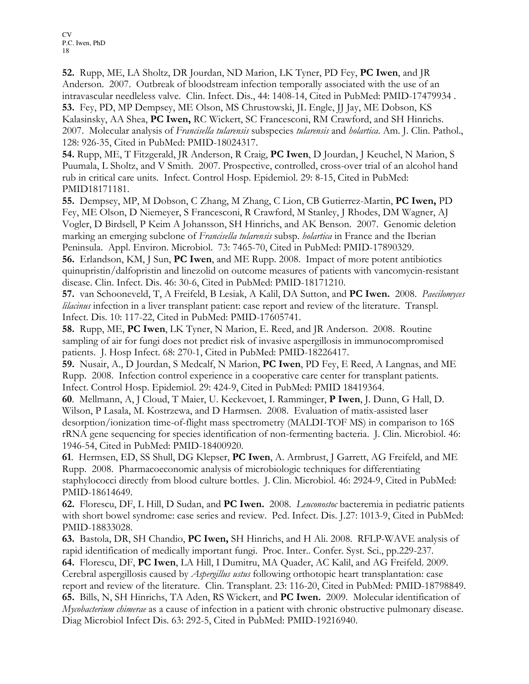52. Rupp, ME, LA Sholtz, DR Jourdan, ND Marion, LK Tyner, PD Fey, PC Iwen, and JR Anderson. 2007. Outbreak of bloodstream infection temporally associated with the use of an intravascular needleless valve. Clin. Infect. Dis., 44: 1408-14, Cited in PubMed: PMID-17479934 . 53. Fey, PD, MP Dempsey, ME Olson, MS Chrustowski, JL Engle, JJ Jay, ME Dobson, KS Kalasinsky, AA Shea, PC Iwen, RC Wickert, SC Francesconi, RM Crawford, and SH Hinrichs. 2007. Molecular analysis of Francisella tularensis subspecies tularensis and holartica. Am. J. Clin. Pathol., 128: 926-35, Cited in PubMed: PMID-18024317.

54. Rupp, ME, T Fitzgerald, JR Anderson, R Craig, PC Iwen, D Jourdan, J Keuchel, N Marion, S Puumala, L Sholtz, and V Smith. 2007. Prospective, controlled, cross-over trial of an alcohol hand rub in critical care units. Infect. Control Hosp. Epidemiol. 29: 8-15, Cited in PubMed: PMID18171181.

55. Dempsey, MP, M Dobson, C Zhang, M Zhang, C Lion, CB Gutierrez-Martin, PC Iwen, PD Fey, ME Olson, D Niemeyer, S Francesconi, R Crawford, M Stanley, J Rhodes, DM Wagner, AJ Vogler, D Birdsell, P Keim A Johansson, SH Hinrichs, and AK Benson. 2007. Genomic deletion marking an emerging subclone of *Francisella tularensis* subsp. *holartica* in France and the Iberian Peninsula. Appl. Environ. Microbiol. 73: 7465-70, Cited in PubMed: PMID-17890329.

56. Erlandson, KM, J Sun, PC Iwen, and ME Rupp. 2008. Impact of more potent antibiotics quinupristin/dalfopristin and linezolid on outcome measures of patients with vancomycin-resistant disease. Clin. Infect. Dis. 46: 30-6, Cited in PubMed: PMID-18171210.

57. van Schooneveld, T, A Freifeld, B Lesiak, A Kalil, DA Sutton, and PC Iwen. 2008. Paecilomyces lilacinus infection in a liver transplant patient: case report and review of the literature. Transpl. Infect. Dis. 10: 117-22, Cited in PubMed: PMID-17605741.

58. Rupp, ME, PC Iwen, LK Tyner, N Marion, E. Reed, and JR Anderson. 2008. Routine sampling of air for fungi does not predict risk of invasive aspergillosis in immunocompromised patients. J. Hosp Infect. 68: 270-1, Cited in PubMed: PMID-18226417.

59. Nusair, A., D Jourdan, S Medcalf, N Marion, PC Iwen, PD Fey, E Reed, A Langnas, and ME Rupp. 2008. Infection control experience in a cooperative care center for transplant patients. Infect. Control Hosp. Epidemiol. 29: 424-9, Cited in PubMed: PMID 18419364.

60. Mellmann, A, J Cloud, T Maier, U. Keckevoet, I. Ramminger, P Iwen, J. Dunn, G Hall, D. Wilson, P Lasala, M. Kostrzewa, and D Harmsen. 2008. Evaluation of matix-assisted laser desorption/ionization time-of-flight mass spectrometry (MALDI-TOF MS) in comparison to 16S rRNA gene sequencing for species identification of non-fermenting bacteria. J. Clin. Microbiol. 46: 1946-54, Cited in PubMed: PMID-18400920.

61. Hermsen, ED, SS Shull, DG Klepser, PC Iwen, A. Armbrust, J Garrett, AG Freifeld, and ME Rupp. 2008. Pharmacoeconomic analysis of microbiologic techniques for differentiating staphylococci directly from blood culture bottles. J. Clin. Microbiol. 46: 2924-9, Cited in PubMed: PMID-18614649.

62. Florescu, DF, L Hill, D Sudan, and PC Iwen. 2008. Leuconostoc bacteremia in pediatric patients with short bowel syndrome: case series and review. Ped. Infect. Dis. J.27: 1013-9, Cited in PubMed: PMID-18833028.

63. Bastola, DR, SH Chandio, PC Iwen, SH Hinrichs, and H Ali. 2008. RFLP-WAVE analysis of rapid identification of medically important fungi. Proc. Inter.. Confer. Syst. Sci., pp.229-237.

64. Florescu, DF, PC Iwen, LA Hill, I Dumitru, MA Quader, AC Kalil, and AG Freifeld. 2009. Cerebral aspergillosis caused by *Aspergillus ustus* following orthotopic heart transplantation: case report and review of the literature. Clin. Transplant. 23: 116-20, Cited in PubMed: PMID-18798849. 65. Bills, N, SH Hinrichs, TA Aden, RS Wickert, and PC Iwen. 2009. Molecular identification of Mycobacterium chimerae as a cause of infection in a patient with chronic obstructive pulmonary disease. Diag Microbiol Infect Dis. 63: 292-5, Cited in PubMed: PMID-19216940.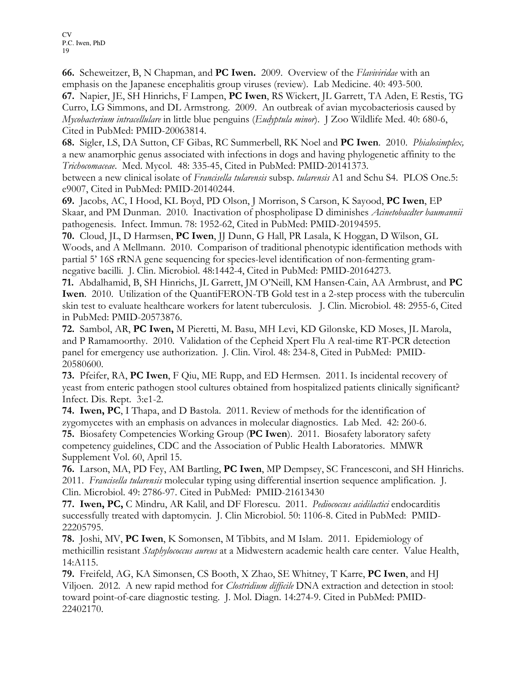66. Scheweitzer, B, N Chapman, and PC Iwen. 2009. Overview of the Flaviviridae with an emphasis on the Japanese encephalitis group viruses (review). Lab Medicine. 40: 493-500.

67. Napier, JE, SH Hinrichs, F Lampen, PC Iwen, RS Wickert, JL Garrett, TA Aden, E Restis, TG Curro, LG Simmons, and DL Armstrong. 2009. An outbreak of avian mycobacteriosis caused by Mycobacterium intracellulare in little blue penguins (Eudyptula minor). J Zoo Wildlife Med. 40: 680-6, Cited in PubMed: PMID-20063814.

68. Sigler, LS, DA Sutton, CF Gibas, RC Summerbell, RK Noel and PC Iwen. 2010. Phialosimplex, a new anamorphic genus associated with infections in dogs and having phylogenetic affinity to the Trichocomaceae. Med. Mycol. 48: 335-45, Cited in PubMed: PMID-20141373.

between a new clinical isolate of Francisella tularensis subsp. tularensis A1 and Schu S4. PLOS One.5: e9007, Cited in PubMed: PMID-20140244.

69. Jacobs, AC, I Hood, KL Boyd, PD Olson, J Morrison, S Carson, K Sayood, PC Iwen, EP Skaar, and PM Dunman. 2010. Inactivation of phospholipase D diminishes Acinetobacdter baumannii pathogenesis. Infect. Immun. 78: 1952-62, Cited in PubMed: PMID-20194595.

70. Cloud, JL, D Harmsen, PC Iwen, JJ Dunn, G Hall, PR Lasala, K Hoggan, D Wilson, GL Woods, and A Mellmann. 2010. Comparison of traditional phenotypic identification methods with partial 5' 16S rRNA gene sequencing for species-level identification of non-fermenting gramnegative bacilli. J. Clin. Microbiol. 48:1442-4, Cited in PubMed: PMID-20164273.

71. Abdalhamid, B, SH Hinrichs, JL Garrett, JM O'Neill, KM Hansen-Cain, AA Armbrust, and PC Iwen. 2010. Utilization of the QuantiFERON-TB Gold test in a 2-step process with the tuberculin skin test to evaluate healthcare workers for latent tuberculosis. J. Clin. Microbiol. 48: 2955-6, Cited in PubMed: PMID-20573876.

72. Sambol, AR, PC Iwen, M Pieretti, M. Basu, MH Levi, KD Gilonske, KD Moses, JL Marola, and P Ramamoorthy. 2010. Validation of the Cepheid Xpert Flu A real-time RT-PCR detection panel for emergency use authorization. J. Clin. Virol. 48: 234-8, Cited in PubMed: PMID-20580600.

73. Pfeifer, RA, PC Iwen, F Qiu, ME Rupp, and ED Hermsen. 2011. Is incidental recovery of yeast from enteric pathogen stool cultures obtained from hospitalized patients clinically significant? Infect. Dis. Rept. 3:e1-2.

74. Iwen, PC, I Thapa, and D Bastola. 2011. Review of methods for the identification of zygomycetes with an emphasis on advances in molecular diagnostics. Lab Med. 42: 260-6. 75. Biosafety Competencies Working Group (PC Iwen). 2011. Biosafety laboratory safety competency guidelines, CDC and the Association of Public Health Laboratories. MMWR Supplement Vol. 60, April 15.

76. Larson, MA, PD Fey, AM Bartling, PC Iwen, MP Dempsey, SC Francesconi, and SH Hinrichs. 2011. Francisella tularensis molecular typing using differential insertion sequence amplification. J. Clin. Microbiol. 49: 2786-97. Cited in PubMed: PMID-21613430

77. Iwen, PC, C Mindru, AR Kalil, and DF Florescu. 2011. Pediococcus acidilactici endocarditis successfully treated with daptomycin. J. Clin Microbiol. 50: 1106-8. Cited in PubMed: PMID-22205795.

78. Joshi, MV, PC Iwen, K Somonsen, M Tibbits, and M Islam. 2011. Epidemiology of methicillin resistant Staphylococcus aureus at a Midwestern academic health care center. Value Health, 14:A115.

79. Freifeld, AG, KA Simonsen, CS Booth, X Zhao, SE Whitney, T Karre, PC Iwen, and HJ Viljoen. 2012. A new rapid method for *Clostridium difficile* DNA extraction and detection in stool: toward point-of-care diagnostic testing. J. Mol. Diagn. 14:274-9. Cited in PubMed: PMID-22402170.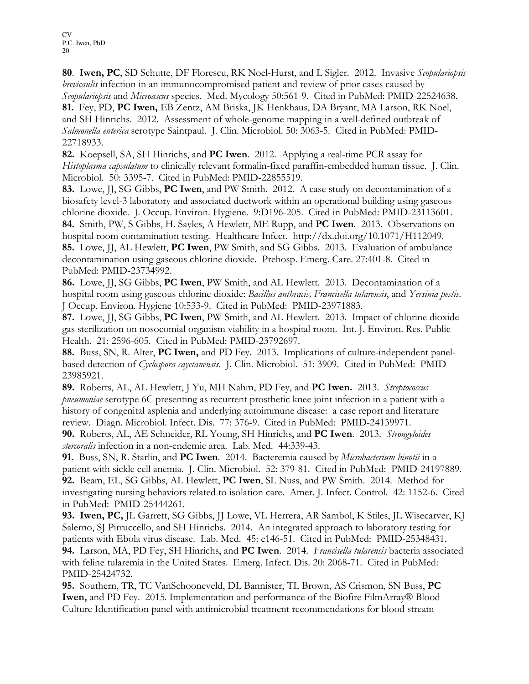80. Iwen, PC, SD Schutte, DF Florescu, RK Noel-Hurst, and L Sigler. 2012. Invasive Scopulariopsis brevicaulis infection in an immunocompromised patient and review of prior cases caused by Scopulariopsis and Microascus species. Med. Mycology 50:561-9. Cited in PubMed: PMID-22524638. 81. Fey, PD, PC Iwen, EB Zentz, AM Briska, JK Henkhaus, DA Bryant, MA Larson, RK Noel, and SH Hinrichs. 2012. Assessment of whole-genome mapping in a well-defined outbreak of Salmonella enterica serotype Saintpaul. J. Clin. Microbiol. 50: 3063-5. Cited in PubMed: PMID-22718933.

82. Koepsell, SA, SH Hinrichs, and PC Iwen. 2012. Applying a real-time PCR assay for Histoplasma capsulatum to clinically relevant formalin-fixed paraffin-embedded human tissue. J. Clin. Microbiol. 50: 3395-7. Cited in PubMed: PMID-22855519.

83. Lowe, JJ, SG Gibbs, PC Iwen, and PW Smith. 2012. A case study on decontamination of a biosafety level-3 laboratory and associated ductwork within an operational building using gaseous chlorine dioxide. J. Occup. Environ. Hygiene. 9:D196-205. Cited in PubMed: PMID-23113601. 84. Smith, PW, S Gibbs, H. Sayles, A Hewlett, ME Rupp, and PC Iwen. 2013. Observations on hospital room contamination testing. Healthcare Infect. http://dx.doi.org/10.1071/H112049. 85. Lowe, JJ, AL Hewlett, PC Iwen, PW Smith, and SG Gibbs. 2013. Evaluation of ambulance decontamination using gaseous chlorine dioxide. Prehosp. Emerg. Care. 27:401-8. Cited in PubMed: PMID-23734992.

86. Lowe, JJ, SG Gibbs, PC Iwen, PW Smith, and AL Hewlett. 2013. Decontamination of a hospital room using gaseous chlorine dioxide: Bacillus anthracis, Francisella tularensis, and Yersinia pestis. J Occup. Environ. Hygiene 10:533-9. Cited in PubMed: PMID-23971883.

87. Lowe, JJ, SG Gibbs, PC Iwen, PW Smith, and AL Hewlett. 2013. Impact of chlorine dioxide gas sterilization on nosocomial organism viability in a hospital room. Int. J. Environ. Res. Public Health. 21: 2596-605. Cited in PubMed: PMID-23792697.

88. Buss, SN, R. Alter, PC Iwen, and PD Fey. 2013. Implications of culture-independent panelbased detection of Cyclospora cayetanensis. J. Clin. Microbiol. 51: 3909. Cited in PubMed: PMID-23985921.

89. Roberts, AL, AL Hewlett, J Yu, MH Nahm, PD Fey, and PC Iwen. 2013. Streptococcus pneumoniae serotype 6C presenting as recurrent prosthetic knee joint infection in a patient with a history of congenital asplenia and underlying autoimmune disease: a case report and literature review. Diagn. Microbiol. Infect. Dis. 77: 376-9. Cited in PubMed: PMID-24139971.

90. Roberts, AL, AE Schneider, RL Young, SH Hinrichs, and PC Iwen. 2013. Strongyloides stercoralis infection in a non-endemic area. Lab. Med. 44:339-43.

91. Buss, SN, R. Starlin, and PC Iwen. 2014. Bacteremia caused by *Microbacterium binotii* in a patient with sickle cell anemia. J. Clin. Microbiol. 52: 379-81. Cited in PubMed: PMID-24197889. 92. Beam, EL, SG Gibbs, AL Hewlett, PC Iwen, SL Nuss, and PW Smith. 2014. Method for investigating nursing behaviors related to isolation care. Amer. J. Infect. Control. 42: 1152-6. Cited in PubMed: PMID-25444261.

93. Iwen, PC, JL Garrett, SG Gibbs, JJ Lowe, VL Herrera, AR Sambol, K Stiles, JL Wisecarver, KJ Salerno, SJ Pirruccello, and SH Hinrichs. 2014. An integrated approach to laboratory testing for patients with Ebola virus disease. Lab. Med. 45: e146-51. Cited in PubMed: PMID-25348431. 94. Larson, MA, PD Fey, SH Hinrichs, and PC Iwen. 2014. Francisella tularensis bacteria associated with feline tularemia in the United States. Emerg. Infect. Dis. 20: 2068-71. Cited in PubMed: PMID-25424732.

95. Southern, TR, TC VanSchooneveld, DL Bannister, TL Brown, AS Crismon, SN Buss, PC Iwen, and PD Fey. 2015. Implementation and performance of the Biofire FilmArray® Blood Culture Identification panel with antimicrobial treatment recommendations for blood stream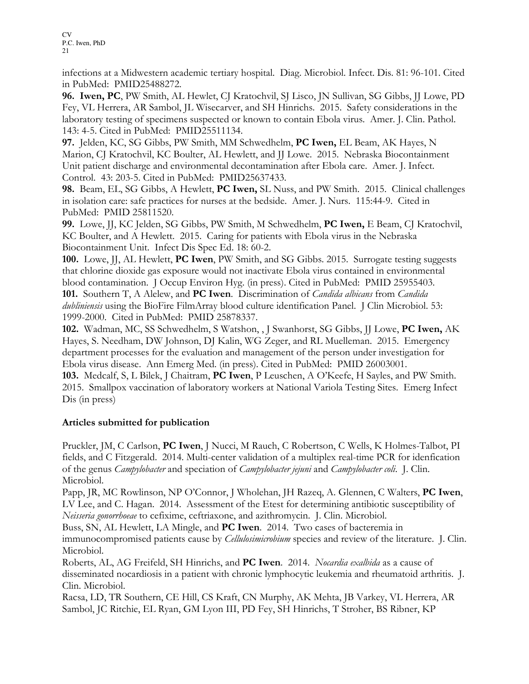infections at a Midwestern academic tertiary hospital. Diag. Microbiol. Infect. Dis. 81: 96-101. Cited in PubMed: PMID25488272.

96. Iwen, PC, PW Smith, AL Hewlet, CJ Kratochvil, SJ Lisco, JN Sullivan, SG Gibbs, JJ Lowe, PD Fey, VL Herrera, AR Sambol, JL Wisecarver, and SH Hinrichs. 2015. Safety considerations in the laboratory testing of specimens suspected or known to contain Ebola virus. Amer. J. Clin. Pathol. 143: 4-5. Cited in PubMed: PMID25511134.

97. Jelden, KC, SG Gibbs, PW Smith, MM Schwedhelm, PC Iwen, EL Beam, AK Hayes, N Marion, CJ Kratochvil, KC Boulter, AL Hewlett, and JJ Lowe. 2015. Nebraska Biocontainment Unit patient discharge and environmental decontamination after Ebola care. Amer. J. Infect. Control. 43: 203-5. Cited in PubMed: PMID25637433.

98. Beam, EL, SG Gibbs, A Hewlett, PC Iwen, SL Nuss, and PW Smith. 2015. Clinical challenges in isolation care: safe practices for nurses at the bedside. Amer. J. Nurs. 115:44-9. Cited in PubMed: PMID 25811520.

99. Lowe, JJ, KC Jelden, SG Gibbs, PW Smith, M Schwedhelm, PC Iwen, E Beam, CJ Kratochvil, KC Boulter, and A Hewlett. 2015. Caring for patients with Ebola virus in the Nebraska Biocontainment Unit. Infect Dis Spec Ed. 18: 60-2.

100. Lowe, JJ, AL Hewlett, PC Iwen, PW Smith, and SG Gibbs. 2015. Surrogate testing suggests that chlorine dioxide gas exposure would not inactivate Ebola virus contained in environmental blood contamination. J Occup Environ Hyg. (in press). Cited in PubMed: PMID 25955403. 101. Southern T, A Alelew, and PC Iwen. Discrimination of Candida albicans from Candida dubliniensis using the BioFire FilmArray blood culture identification Panel. J Clin Microbiol. 53: 1999-2000. Cited in PubMed: PMID 25878337.

102. Wadman, MC, SS Schwedhelm, S Watshon, , J Swanhorst, SG Gibbs, JJ Lowe, PC Iwen, AK Hayes, S. Needham, DW Johnson, DJ Kalin, WG Zeger, and RL Muelleman. 2015. Emergency department processes for the evaluation and management of the person under investigation for Ebola virus disease. Ann Emerg Med. (in press). Cited in PubMed: PMID 26003001.

103. Medcalf, S, L Bilek, J Chaitram, PC Iwen, P Leuschen, A O'Keefe, H Sayles, and PW Smith. 2015. Smallpox vaccination of laboratory workers at National Variola Testing Sites. Emerg Infect Dis (in press)

#### Articles submitted for publication

Pruckler, JM, C Carlson, PC Iwen, J Nucci, M Rauch, C Robertson, C Wells, K Holmes-Talbot, PI fields, and C Fitzgerald. 2014. Multi-center validation of a multiplex real-time PCR for idenfication of the genus Campylobacter and speciation of Campylobacter jejuni and Campylobacter coli. J. Clin. Microbiol.

Papp, JR, MC Rowlinson, NP O'Connor, J Wholehan, JH Razeq, A. Glennen, C Walters, PC Iwen, LV Lee, and C. Hagan. 2014. Assessment of the Etest for determining antibiotic susceptibility of Neisseria gonorrhoeae to cefixime, ceftriaxone, and azithromycin. J. Clin. Microbiol.

Buss, SN, AL Hewlett, LA Mingle, and PC Iwen. 2014. Two cases of bacteremia in immunocompromised patients cause by *Cellulosimicrobium* species and review of the literature. J. Clin. Microbiol.

Roberts, AL, AG Freifeld, SH Hinrichs, and PC Iwen. 2014. Nocardia exalbida as a cause of disseminated nocardiosis in a patient with chronic lymphocytic leukemia and rheumatoid arthritis. J. Clin. Microbiol.

Racsa, LD, TR Southern, CE Hill, CS Kraft, CN Murphy, AK Mehta, JB Varkey, VL Herrera, AR Sambol, JC Ritchie, EL Ryan, GM Lyon III, PD Fey, SH Hinrichs, T Stroher, BS Ribner, KP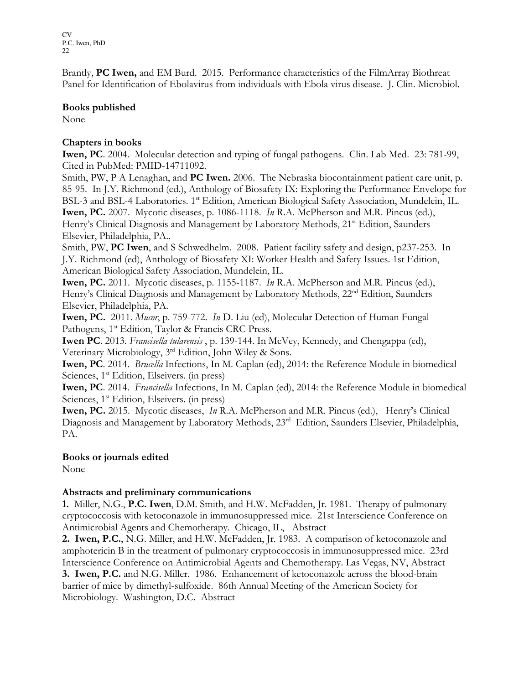Brantly, **PC Iwen,** and EM Burd. 2015. Performance characteristics of the FilmArray Biothreat Panel for Identification of Ebolavirus from individuals with Ebola virus disease. J. Clin. Microbiol.

#### Books published

None

#### Chapters in books

Iwen, PC. 2004. Molecular detection and typing of fungal pathogens. Clin. Lab Med. 23: 781-99, Cited in PubMed: PMID-14711092.

Smith, PW, P A Lenaghan, and **PC Iwen.** 2006. The Nebraska biocontainment patient care unit, p. 85-95. In J.Y. Richmond (ed.), Anthology of Biosafety IX: Exploring the Performance Envelope for BSL-3 and BSL-4 Laboratories. 1<sup>st</sup> Edition, American Biological Safety Association, Mundelein, IL. Iwen, PC. 2007. Mycotic diseases, p. 1086-1118. In R.A. McPherson and M.R. Pincus (ed.), Henry's Clinical Diagnosis and Management by Laboratory Methods, 21<sup>st</sup> Edition, Saunders Elsevier, Philadelphia, PA..

Smith, PW, PC Iwen, and S Schwedhelm. 2008. Patient facility safety and design, p237-253. In J.Y. Richmond (ed), Anthology of Biosafety XI: Worker Health and Safety Issues. 1st Edition, American Biological Safety Association, Mundelein, IL.

Iwen, PC. 2011. Mycotic diseases, p. 1155-1187. In R.A. McPherson and M.R. Pincus (ed.), Henry's Clinical Diagnosis and Management by Laboratory Methods, 22<sup>nd</sup> Edition, Saunders Elsevier, Philadelphia, PA.

Iwen, PC. 2011. Mucor, p. 759-772. In D. Liu (ed), Molecular Detection of Human Fungal Pathogens, 1<sup>st</sup> Edition, Taylor & Francis CRC Press.

Iwen PC. 2013. Francisella tularensis , p. 139-144. In McVey, Kennedy, and Chengappa (ed), Veterinary Microbiology, 3rd Edition, John Wiley & Sons.

Iwen, PC. 2014. Brucella Infections, In M. Caplan (ed), 2014: the Reference Module in biomedical Sciences, 1<sup>st</sup> Edition, Elseivers. (in press)

Iwen, PC. 2014. Francisella Infections, In M. Caplan (ed), 2014: the Reference Module in biomedical Sciences, 1<sup>st</sup> Edition, Elseivers. (in press)

Iwen, PC. 2015. Mycotic diseases, In R.A. McPherson and M.R. Pincus (ed.), Henry's Clinical Diagnosis and Management by Laboratory Methods, 23<sup>rd</sup> Edition, Saunders Elsevier, Philadelphia, PA.

#### Books or journals edited

None

#### Abstracts and preliminary communications

1. Miller, N.G., P.C. Iwen, D.M. Smith, and H.W. McFadden, Jr. 1981. Therapy of pulmonary cryptococcosis with ketoconazole in immunosuppressed mice. 21st Interscience Conference on Antimicrobial Agents and Chemotherapy. Chicago, IL, Abstract

2. Iwen, P.C., N.G. Miller, and H.W. McFadden, Jr. 1983. A comparison of ketoconazole and amphotericin B in the treatment of pulmonary cryptococcosis in immunosuppressed mice. 23rd Interscience Conference on Antimicrobial Agents and Chemotherapy. Las Vegas, NV, Abstract 3. Iwen, P.C. and N.G. Miller. 1986. Enhancement of ketoconazole across the blood-brain barrier of mice by dimethyl-sulfoxide. 86th Annual Meeting of the American Society for Microbiology. Washington, D.C. Abstract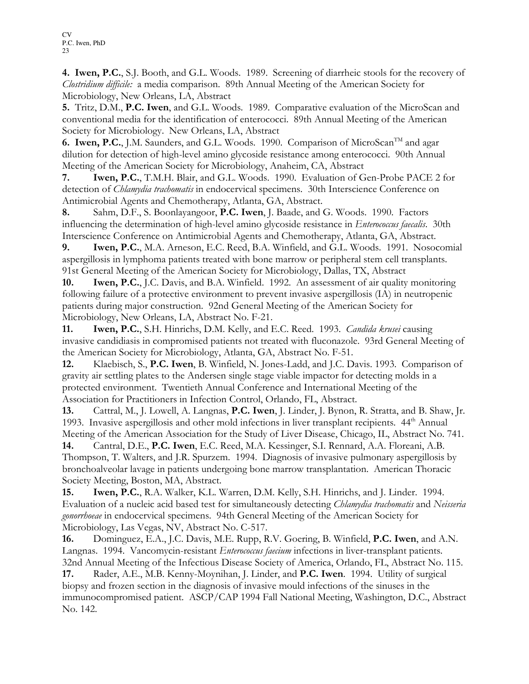4. Iwen, P.C., S.J. Booth, and G.L. Woods. 1989. Screening of diarrheic stools for the recovery of Clostridium difficile: a media comparison. 89th Annual Meeting of the American Society for Microbiology, New Orleans, LA, Abstract

5. Tritz, D.M., P.C. Iwen, and G.L. Woods. 1989. Comparative evaluation of the MicroScan and conventional media for the identification of enterococci. 89th Annual Meeting of the American Society for Microbiology. New Orleans, LA, Abstract

6. Iwen, P.C., J.M. Saunders, and G.L. Woods. 1990. Comparison of MicroScan<sup>TM</sup> and agar dilution for detection of high-level amino glycoside resistance among enterococci. 90th Annual Meeting of the American Society for Microbiology, Anaheim, CA, Abstract

7. Iwen, P.C., T.M.H. Blair, and G.L. Woods. 1990. Evaluation of Gen-Probe PACE 2 for detection of *Chlamydia trachomatis* in endocervical specimens. 30th Interscience Conference on Antimicrobial Agents and Chemotherapy, Atlanta, GA, Abstract.

8. Sahm, D.F., S. Boonlayangoor, P.C. Iwen, J. Baade, and G. Woods. 1990. Factors influencing the determination of high-level amino glycoside resistance in *Enterococcus faecalis*. 30th Interscience Conference on Antimicrobial Agents and Chemotherapy, Atlanta, GA, Abstract.

9. Iwen, P.C., M.A. Arneson, E.C. Reed, B.A. Winfield, and G.L. Woods. 1991. Nosocomial aspergillosis in lymphoma patients treated with bone marrow or peripheral stem cell transplants. 91st General Meeting of the American Society for Microbiology, Dallas, TX, Abstract

10. **Iwen, P.C.**, J.C. Davis, and B.A. Winfield. 1992. An assessment of air quality monitoring following failure of a protective environment to prevent invasive aspergillosis (IA) in neutropenic patients during major construction. 92nd General Meeting of the American Society for Microbiology, New Orleans, LA, Abstract No. F-21.

11. **Iwen, P.C.**, S.H. Hinrichs, D.M. Kelly, and E.C. Reed. 1993. *Candida krusei* causing invasive candidiasis in compromised patients not treated with fluconazole. 93rd General Meeting of the American Society for Microbiology, Atlanta, GA, Abstract No. F-51.

12. Klaebisch, S., P.C. Iwen, B. Winfield, N. Jones-Ladd, and J.C. Davis. 1993. Comparison of gravity air settling plates to the Andersen single stage viable impactor for detecting molds in a protected environment. Twentieth Annual Conference and International Meeting of the Association for Practitioners in Infection Control, Orlando, FL, Abstract.

13. Cattral, M., J. Lowell, A. Langnas, P.C. Iwen, J. Linder, J. Bynon, R. Stratta, and B. Shaw, Jr. 1993. Invasive aspergillosis and other mold infections in liver transplant recipients. 44<sup>th</sup> Annual Meeting of the American Association for the Study of Liver Disease, Chicago, IL, Abstract No. 741.

14. Cantral, D.E., P.C. Iwen, E.C. Reed, M.A. Kessinger, S.I. Rennard, A.A. Floreani, A.B. Thompson, T. Walters, and J.R. Spurzem. 1994. Diagnosis of invasive pulmonary aspergillosis by bronchoalveolar lavage in patients undergoing bone marrow transplantation. American Thoracic Society Meeting, Boston, MA, Abstract.

15. Iwen, P.C., R.A. Walker, K.L. Warren, D.M. Kelly, S.H. Hinrichs, and J. Linder. 1994. Evaluation of a nucleic acid based test for simultaneously detecting *Chlamydia trachomatis* and Neisseria gonorrhoeae in endocervical specimens. 94th General Meeting of the American Society for Microbiology, Las Vegas, NV, Abstract No. C-517.

16. Dominguez, E.A., J.C. Davis, M.E. Rupp, R.V. Goering, B. Winfield, P.C. Iwen, and A.N. Langnas. 1994. Vancomycin-resistant Enterococcus faecium infections in liver-transplant patients. 32nd Annual Meeting of the Infectious Disease Society of America, Orlando, FL, Abstract No. 115.

17. Rader, A.E., M.B. Kenny-Moynihan, J. Linder, and P.C. Iwen. 1994. Utility of surgical biopsy and frozen section in the diagnosis of invasive mould infections of the sinuses in the immunocompromised patient. ASCP/CAP 1994 Fall National Meeting, Washington, D.C., Abstract No. 142.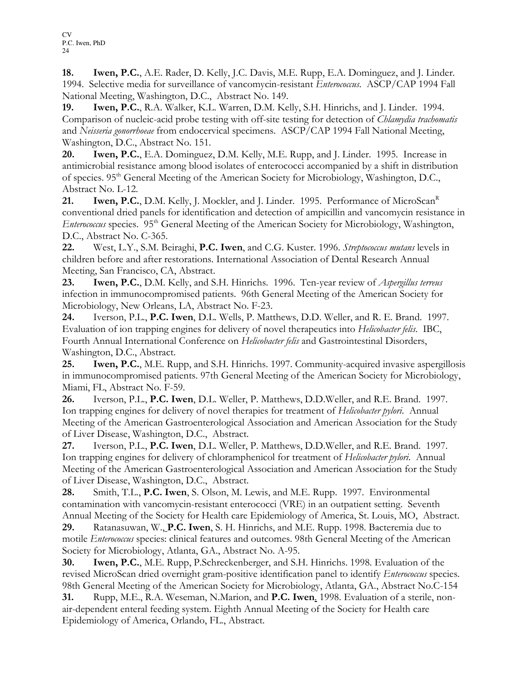18. Iwen, P.C., A.E. Rader, D. Kelly, J.C. Davis, M.E. Rupp, E.A. Dominguez, and J. Linder. 1994. Selective media for surveillance of vancomycin-resistant Enterococcus. ASCP/CAP 1994 Fall National Meeting, Washington, D.C., Abstract No. 149.

19. Iwen, P.C., R.A. Walker, K.L. Warren, D.M. Kelly, S.H. Hinrichs, and J. Linder. 1994. Comparison of nucleic-acid probe testing with off-site testing for detection of *Chlamydia trachomatis* and Neisseria gonorrhoeae from endocervical specimens. ASCP/CAP 1994 Fall National Meeting, Washington, D.C., Abstract No. 151.

20. Iwen, P.C., E.A. Dominguez, D.M. Kelly, M.E. Rupp, and J. Linder. 1995. Increase in antimicrobial resistance among blood isolates of enterococci accompanied by a shift in distribution of species. 95th General Meeting of the American Society for Microbiology, Washington, D.C., Abstract No. L-12.

21. **Iwen, P.C.**, D.M. Kelly, J. Mockler, and J. Linder. 1995. Performance of MicroScan<sup>R</sup> conventional dried panels for identification and detection of ampicillin and vancomycin resistance in Enterococcus species. 95<sup>th</sup> General Meeting of the American Society for Microbiology, Washington, D.C., Abstract No. C-365.

22. West, L.Y., S.M. Beiraghi, P.C. Iwen, and C.G. Kuster. 1996. Streptococcus mutans levels in children before and after restorations. International Association of Dental Research Annual Meeting, San Francisco, CA, Abstract.

23. Iwen, P.C., D.M. Kelly, and S.H. Hinrichs. 1996. Ten-year review of *Aspergillus terreus* infection in immunocompromised patients. 96th General Meeting of the American Society for Microbiology, New Orleans, LA, Abstract No. F-23.

24. Iverson, P.L., P.C. Iwen, D.L. Wells, P. Matthews, D.D. Weller, and R. E. Brand. 1997. Evaluation of ion trapping engines for delivery of novel therapeutics into Helicobacter felis. IBC, Fourth Annual International Conference on Helicobacter felis and Gastrointestinal Disorders, Washington, D.C., Abstract.

25. **Iwen, P.C.**, M.E. Rupp, and S.H. Hinrichs. 1997. Community-acquired invasive aspergillosis in immunocompromised patients. 97th General Meeting of the American Society for Microbiology, Miami, FL, Abstract No. F-59.

26. Iverson, P.L., P.C. Iwen, D.L. Weller, P. Matthews, D.D.Weller, and R.E. Brand. 1997. Ion trapping engines for delivery of novel therapies for treatment of *Helicobacter pylori*. Annual Meeting of the American Gastroenterological Association and American Association for the Study of Liver Disease, Washington, D.C., Abstract.

27. Iverson, P.L., P.C. Iwen, D.L. Weller, P. Matthews, D.D.Weller, and R.E. Brand. 1997. Ion trapping engines for delivery of chloramphenicol for treatment of *Helicobacter pylori*. Annual Meeting of the American Gastroenterological Association and American Association for the Study of Liver Disease, Washington, D.C., Abstract.

28. Smith, T.L., P.C. Iwen, S. Olson, M. Lewis, and M.E. Rupp. 1997. Environmental contamination with vancomycin-resistant enterococci (VRE) in an outpatient setting. Seventh Annual Meeting of the Society for Health care Epidemiology of America, St. Louis, MO, Abstract.

29. Ratanasuwan, W., P.C. Iwen, S. H. Hinrichs, and M.E. Rupp. 1998. Bacteremia due to motile *Enterococcus* species: clinical features and outcomes. 98th General Meeting of the American Society for Microbiology, Atlanta, GA., Abstract No. A-95.

30. Iwen, P.C., M.E. Rupp, P.Schreckenberger, and S.H. Hinrichs. 1998. Evaluation of the revised MicroScan dried overnight gram-positive identification panel to identify *Enterococcus* species. 98th General Meeting of the American Society for Microbiology, Atlanta, GA., Abstract No.C-154

31. Rupp, M.E., R.A. Weseman, N.Marion, and **P.C. Iwen**. 1998. Evaluation of a sterile, nonair-dependent enteral feeding system. Eighth Annual Meeting of the Society for Health care Epidemiology of America, Orlando, FL., Abstract.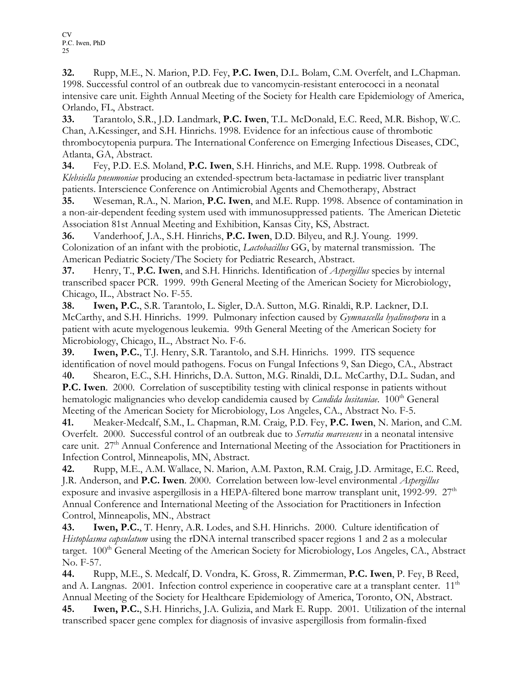32. Rupp, M.E., N. Marion, P.D. Fey, P.C. Iwen, D.L. Bolam, C.M. Overfelt, and L.Chapman. 1998. Successful control of an outbreak due to vancomycin-resistant enterococci in a neonatal intensive care unit. Eighth Annual Meeting of the Society for Health care Epidemiology of America, Orlando, FL, Abstract.

33. Tarantolo, S.R., J.D. Landmark, P.C. Iwen, T.L. McDonald, E.C. Reed, M.R. Bishop, W.C. Chan, A.Kessinger, and S.H. Hinrichs. 1998. Evidence for an infectious cause of thrombotic thrombocytopenia purpura. The International Conference on Emerging Infectious Diseases, CDC, Atlanta, GA, Abstract.

34. Fey, P.D. E.S. Moland, P.C. Iwen, S.H. Hinrichs, and M.E. Rupp. 1998. Outbreak of Klebsiella pneumoniae producing an extended-spectrum beta-lactamase in pediatric liver transplant patients. Interscience Conference on Antimicrobial Agents and Chemotherapy, Abstract

35. Weseman, R.A., N. Marion, P.C. Iwen, and M.E. Rupp. 1998. Absence of contamination in a non-air-dependent feeding system used with immunosuppressed patients. The American Dietetic Association 81st Annual Meeting and Exhibition, Kansas City, KS, Abstract.

36. Vanderhoof, J.A., S.H. Hinrichs, P.C. Iwen, D.D. Bilyeu, and R.J. Young. 1999. Colonization of an infant with the probiotic, *Lactobacillus* GG, by maternal transmission. The American Pediatric Society/The Society for Pediatric Research, Abstract.

37. Henry, T., P.C. Iwen, and S.H. Hinrichs. Identification of *Aspergillus* species by internal transcribed spacer PCR. 1999. 99th General Meeting of the American Society for Microbiology, Chicago, IL., Abstract No. F-55.

38. Iwen, P.C., S.R. Tarantolo, L. Sigler, D.A. Sutton, M.G. Rinaldi, R.P. Lackner, D.I. McCarthy, and S.H. Hinrichs. 1999. Pulmonary infection caused by *Gymnascella hyalinospora* in a patient with acute myelogenous leukemia. 99th General Meeting of the American Society for Microbiology, Chicago, IL., Abstract No. F-6.

39. Iwen, P.C., T.J. Henry, S.R. Tarantolo, and S.H. Hinrichs. 1999. ITS sequence identification of novel mould pathogens. Focus on Fungal Infections 9, San Diego, CA., Abstract 40. Shearon, E.C., S.H. Hinrichs, D.A. Sutton, M.G. Rinaldi, D.L. McCarthy, D.L. Sudan, and P.C. Iwen. 2000. Correlation of susceptibility testing with clinical response in patients without hematologic malignancies who develop candidemia caused by *Candida lusitaniae*. 100<sup>th</sup> General Meeting of the American Society for Microbiology, Los Angeles, CA., Abstract No. F-5.

41. Meaker-Medcalf, S.M., L. Chapman, R.M. Craig, P.D. Fey, P.C. Iwen, N. Marion, and C.M. Overfelt. 2000. Successful control of an outbreak due to *Serratia marcescens* in a neonatal intensive care unit. 27<sup>th</sup> Annual Conference and International Meeting of the Association for Practitioners in Infection Control, Minneapolis, MN, Abstract.

42. Rupp, M.E., A.M. Wallace, N. Marion, A.M. Paxton, R.M. Craig, J.D. Armitage, E.C. Reed, J.R. Anderson, and **P.C. Iwen**. 2000. Correlation between low-level environmental *Aspergillus* exposure and invasive aspergillosis in a HEPA-filtered bone marrow transplant unit, 1992-99.  $27<sup>th</sup>$ Annual Conference and International Meeting of the Association for Practitioners in Infection Control, Minneapolis, MN., Abstract

43. Iwen, P.C., T. Henry, A.R. Lodes, and S.H. Hinrichs. 2000. Culture identification of Histoplasma capsulatum using the rDNA internal transcribed spacer regions 1 and 2 as a molecular target. 100<sup>th</sup> General Meeting of the American Society for Microbiology, Los Angeles, CA., Abstract No. F-57.

44. Rupp, M.E., S. Medcalf, D. Vondra, K. Gross, R. Zimmerman, P.C. Iwen, P. Fey, B Reed, and A. Langnas. 2001. Infection control experience in cooperative care at a transplant center.  $11<sup>th</sup>$ Annual Meeting of the Society for Healthcare Epidemiology of America, Toronto, ON, Abstract.

45. Iwen, P.C., S.H. Hinrichs, J.A. Gulizia, and Mark E. Rupp. 2001. Utilization of the internal transcribed spacer gene complex for diagnosis of invasive aspergillosis from formalin-fixed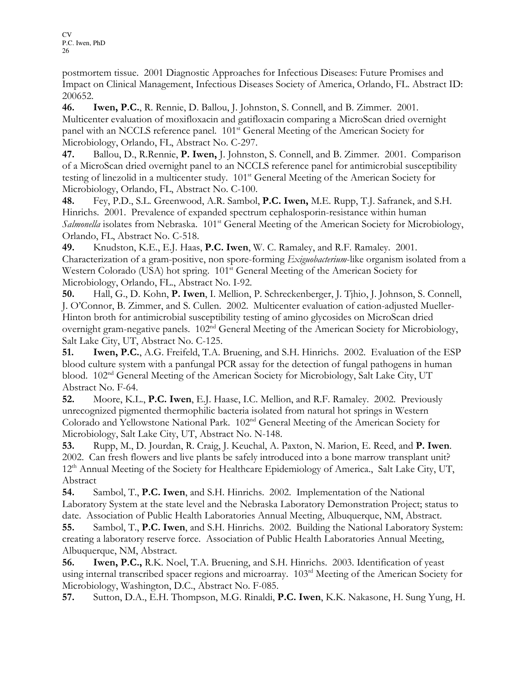postmortem tissue. 2001 Diagnostic Approaches for Infectious Diseases: Future Promises and Impact on Clinical Management, Infectious Diseases Society of America, Orlando, FL. Abstract ID: 200652.

46. Iwen, P.C., R. Rennie, D. Ballou, J. Johnston, S. Connell, and B. Zimmer. 2001. Multicenter evaluation of moxifloxacin and gatifloxacin comparing a MicroScan dried overnight panel with an NCCLS reference panel. 101st General Meeting of the American Society for Microbiology, Orlando, FL, Abstract No. C-297.

47. Ballou, D., R.Rennie, P. Iwen, J. Johnston, S. Connell, and B. Zimmer. 2001. Comparison of a MicroScan dried overnight panel to an NCCLS reference panel for antimicrobial susceptibility testing of linezolid in a multicenter study. 101st General Meeting of the American Society for Microbiology, Orlando, FL, Abstract No. C-100.

48. Fey, P.D., S.L. Greenwood, A.R. Sambol, P.C. Iwen, M.E. Rupp, T.J. Safranek, and S.H. Hinrichs. 2001. Prevalence of expanded spectrum cephalosporin-resistance within human Salmonella isolates from Nebraska. 101<sup>st</sup> General Meeting of the American Society for Microbiology, Orlando, FL, Abstract No. C-518.

49. Knudston, K.E., E.J. Haas, P.C. Iwen, W. C. Ramaley, and R.F. Ramaley. 2001. Characterization of a gram-positive, non spore-forming Exiguobacterium-like organism isolated from a Western Colorado (USA) hot spring. 101<sup>st</sup> General Meeting of the American Society for Microbiology, Orlando, FL., Abstract No. I-92.

50. Hall, G., D. Kohn, P. Iwen, I. Mellion, P. Schreckenberger, J. Tjhio, J. Johnson, S. Connell, J. O'Connor, B. Zimmer, and S. Cullen. 2002. Multicenter evaluation of cation-adjusted Mueller-Hinton broth for antimicrobial susceptibility testing of amino glycosides on MicroScan dried overnight gram-negative panels. 102<sup>nd</sup> General Meeting of the American Society for Microbiology, Salt Lake City, UT, Abstract No. C-125.

51. Iwen, P.C., A.G. Freifeld, T.A. Bruening, and S.H. Hinrichs. 2002. Evaluation of the ESP blood culture system with a panfungal PCR assay for the detection of fungal pathogens in human blood. 102nd General Meeting of the American Society for Microbiology, Salt Lake City, UT Abstract No. F-64.

52. Moore, K.L., P.C. Iwen, E.J. Haase, I.C. Mellion, and R.F. Ramaley. 2002. Previously unrecognized pigmented thermophilic bacteria isolated from natural hot springs in Western Colorado and Yellowstone National Park. 102nd General Meeting of the American Society for Microbiology, Salt Lake City, UT, Abstract No. N-148.

53. Rupp, M., D. Jourdan, R. Craig, J. Keuchal, A. Paxton, N. Marion, E. Reed, and **P. Iwen**. 2002. Can fresh flowers and live plants be safely introduced into a bone marrow transplant unit? 12<sup>th</sup> Annual Meeting of the Society for Healthcare Epidemiology of America., Salt Lake City, UT, Abstract

54. Sambol, T., P.C. Iwen, and S.H. Hinrichs. 2002. Implementation of the National Laboratory System at the state level and the Nebraska Laboratory Demonstration Project; status to date. Association of Public Health Laboratories Annual Meeting, Albuquerque, NM, Abstract.

55. Sambol, T., P.C. Iwen, and S.H. Hinrichs. 2002. Building the National Laboratory System: creating a laboratory reserve force. Association of Public Health Laboratories Annual Meeting, Albuquerque, NM, Abstract.

56. Iwen, P.C., R.K. Noel, T.A. Bruening, and S.H. Hinrichs. 2003. Identification of yeast using internal transcribed spacer regions and microarray. 103<sup>rd</sup> Meeting of the American Society for Microbiology, Washington, D.C., Abstract No. F-085.

57. Sutton, D.A., E.H. Thompson, M.G. Rinaldi, P.C. Iwen, K.K. Nakasone, H. Sung Yung, H.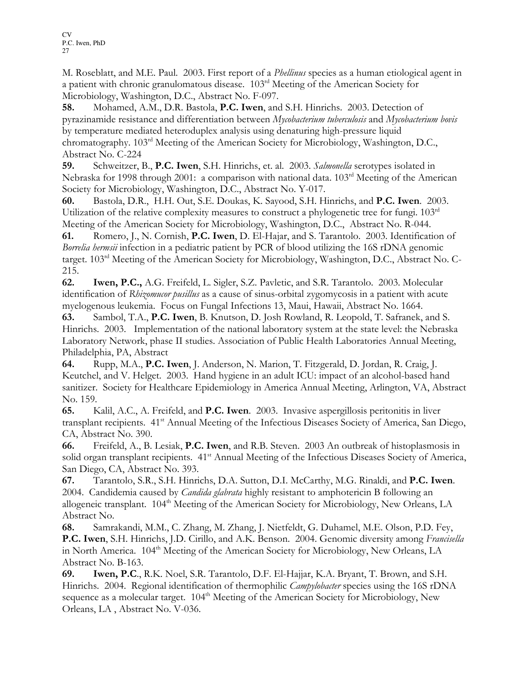M. Roseblatt, and M.E. Paul. 2003. First report of a Phellinus species as a human etiological agent in a patient with chronic granulomatous disease.  $103<sup>rd</sup>$  Meeting of the American Society for Microbiology, Washington, D.C., Abstract No. F-097.

58. Mohamed, A.M., D.R. Bastola, P.C. Iwen, and S.H. Hinrichs. 2003. Detection of pyrazinamide resistance and differentiation between Mycobacterium tuberculosis and Mycobacterium bovis by temperature mediated heteroduplex analysis using denaturing high-pressure liquid chromatography. 103rd Meeting of the American Society for Microbiology, Washington, D.C., Abstract No. C-224

59. Schweitzer, B., P.C. Iwen, S.H. Hinrichs, et. al. 2003. Salmonella serotypes isolated in Nebraska for 1998 through 2001: a comparison with national data. 103<sup>rd</sup> Meeting of the American Society for Microbiology, Washington, D.C., Abstract No. Y-017.

60. Bastola, D.R., H.H. Out, S.E. Doukas, K. Sayood, S.H. Hinrichs, and P.C. Iwen. 2003. Utilization of the relative complexity measures to construct a phylogenetic tree for fungi.  $103<sup>rd</sup>$ Meeting of the American Society for Microbiology, Washington, D.C., Abstract No. R-044.

61. Romero, J., N. Cornish, P.C. Iwen, D. El-Hajar, and S. Tarantolo. 2003. Identification of Borrelia hermsii infection in a pediatric patient by PCR of blood utilizing the 16S rDNA genomic target. 103rd Meeting of the American Society for Microbiology, Washington, D.C., Abstract No. C-215.

62. Iwen, P.C., A.G. Freifeld, L. Sigler, S.Z. Pavletic, and S.R. Tarantolo. 2003. Molecular identification of Rhizomucor pusillus as a cause of sinus-orbital zygomycosis in a patient with acute myelogenous leukemia. Focus on Fungal Infections 13, Maui, Hawaii, Abstract No. 1664.

63. Sambol, T.A., P.C. Iwen, B. Knutson, D. Josh Rowland, R. Leopold, T. Safranek, and S. Hinrichs. 2003. Implementation of the national laboratory system at the state level: the Nebraska Laboratory Network, phase II studies. Association of Public Health Laboratories Annual Meeting, Philadelphia, PA, Abstract

64. Rupp, M.A., P.C. Iwen, J. Anderson, N. Marion, T. Fitzgerald, D. Jordan, R. Craig, J. Keutchel, and V. Helget. 2003. Hand hygiene in an adult ICU: impact of an alcohol-based hand sanitizer. Society for Healthcare Epidemiology in America Annual Meeting, Arlington, VA, Abstract No. 159.

65. Kalil, A.C., A. Freifeld, and P.C. Iwen. 2003. Invasive aspergillosis peritonitis in liver transplant recipients. 41<sup>st</sup> Annual Meeting of the Infectious Diseases Society of America, San Diego, CA, Abstract No. 390.

66. Freifeld, A., B. Lesiak, P.C. Iwen, and R.B. Steven. 2003 An outbreak of histoplasmosis in solid organ transplant recipients. 41<sup>st</sup> Annual Meeting of the Infectious Diseases Society of America, San Diego, CA, Abstract No. 393.

67. Tarantolo, S.R., S.H. Hinrichs, D.A. Sutton, D.I. McCarthy, M.G. Rinaldi, and P.C. Iwen. 2004. Candidemia caused by *Candida glabrata* highly resistant to amphotericin B following an allogeneic transplant.  $104<sup>th</sup>$  Meeting of the American Society for Microbiology, New Orleans, LA Abstract No.

68. Samrakandi, M.M., C. Zhang, M. Zhang, J. Nietfeldt, G. Duhamel, M.E. Olson, P.D. Fey, P.C. Iwen, S.H. Hinrichs, J.D. Cirillo, and A.K. Benson. 2004. Genomic diversity among Francisella in North America. 104<sup>th</sup> Meeting of the American Society for Microbiology, New Orleans, LA Abstract No. B-163.

69. Iwen, P.C., R.K. Noel, S.R. Tarantolo, D.F. El-Hajjar, K.A. Bryant, T. Brown, and S.H. Hinrichs. 2004. Regional identification of thermophilic *Campylobacter* species using the 16S rDNA sequence as a molecular target. 104<sup>th</sup> Meeting of the American Society for Microbiology, New Orleans, LA , Abstract No. V-036.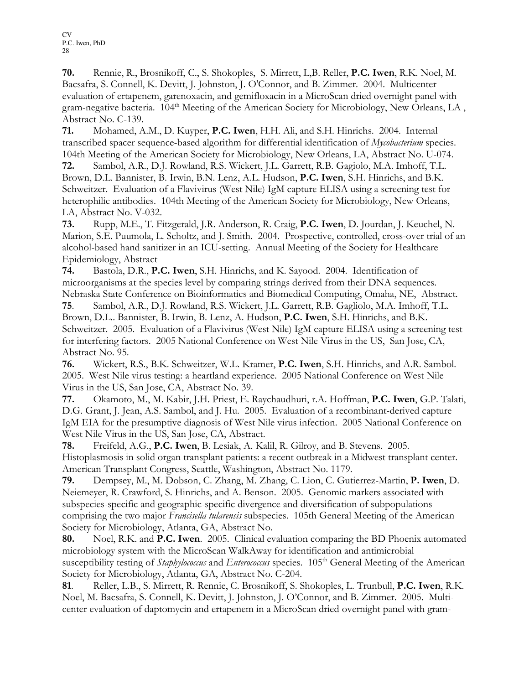70. Rennie, R., Brosnikoff, C., S. Shokoples, S. Mirrett, L,B. Reller, P.C. Iwen, R.K. Noel, M. Bacsafra, S. Connell, K. Devitt, J. Johnston, J. O'Connor, and B. Zimmer. 2004. Multicenter evaluation of ertapenem, garenoxacin, and gemifloxacin in a MicroScan dried overnight panel with gram-negative bacteria. 104<sup>th</sup> Meeting of the American Society for Microbiology, New Orleans, LA, Abstract No. C-139.

71. Mohamed, A.M., D. Kuyper, P.C. Iwen, H.H. Ali, and S.H. Hinrichs. 2004. Internal transcribed spacer sequence-based algorithm for differential identification of Mycobacterium species. 104th Meeting of the American Society for Microbiology, New Orleans, LA, Abstract No. U-074.

72. Sambol, A.R., D.J. Rowland, R.S. Wickert, J.L. Garrett, R.B. Gagiolo, M.A. Imhoff, T.L. Brown, D.L. Bannister, B. Irwin, B.N. Lenz, A.L. Hudson, P.C. Iwen, S.H. Hinrichs, and B.K. Schweitzer. Evaluation of a Flavivirus (West Nile) IgM capture ELISA using a screening test for heterophilic antibodies. 104th Meeting of the American Society for Microbiology, New Orleans, LA, Abstract No. V-032.

73. Rupp, M.E., T. Fitzgerald, J.R. Anderson, R. Craig, P.C. Iwen, D. Jourdan, J. Keuchel, N. Marion, S.E. Puumola, L. Scholtz, and J. Smith. 2004. Prospective, controlled, cross-over trial of an alcohol-based hand sanitizer in an ICU-setting. Annual Meeting of the Society for Healthcare Epidemiology, Abstract

74. Bastola, D.R., P.C. Iwen, S.H. Hinrichs, and K. Sayood. 2004. Identification of microorganisms at the species level by comparing strings derived from their DNA sequences. Nebraska State Conference on Bioinformatics and Biomedical Computing, Omaha, NE, Abstract. 75. Sambol, A.R., D.J. Rowland, R.S. Wickert, J.L. Garrett, R.B. Gagliolo, M.A. Imhoff, T.L.

Brown, D.L.. Bannister, B. Irwin, B. Lenz, A. Hudson, P.C. Iwen, S.H. Hinrichs, and B.K. Schweitzer. 2005. Evaluation of a Flavivirus (West Nile) IgM capture ELISA using a screening test for interfering factors. 2005 National Conference on West Nile Virus in the US, San Jose, CA, Abstract No. 95.

76. Wickert, R.S., B.K. Schweitzer, W.L. Kramer, P.C. Iwen, S.H. Hinrichs, and A.R. Sambol. 2005. West Nile virus testing: a heartland experience. 2005 National Conference on West Nile Virus in the US, San Jose, CA, Abstract No. 39.

77. Okamoto, M., M. Kabir, J.H. Priest, E. Raychaudhuri, r.A. Hoffman, P.C. Iwen, G.P. Talati, D.G. Grant, J. Jean, A.S. Sambol, and J. Hu. 2005. Evaluation of a recombinant-derived capture IgM EIA for the presumptive diagnosis of West Nile virus infection. 2005 National Conference on West Nile Virus in the US, San Jose, CA, Abstract.

78. Freifeld, A.G., P.C. Iwen, B. Lesiak, A. Kalil, R. Gilroy, and B. Stevens. 2005. Histoplasmosis in solid organ transplant patients: a recent outbreak in a Midwest transplant center. American Transplant Congress, Seattle, Washington, Abstract No. 1179.

79. Dempsey, M., M. Dobson, C. Zhang, M. Zhang, C. Lion, C. Gutierrez-Martin, P. Iwen, D. Neiemeyer, R. Crawford, S. Hinrichs, and A. Benson. 2005. Genomic markers associated with subspecies-specific and geographic-specific divergence and diversification of subpopulations comprising the two major Francisella tularensis subspecies. 105th General Meeting of the American Society for Microbiology, Atlanta, GA, Abstract No.

80. Noel, R.K. and P.C. Iwen. 2005. Clinical evaluation comparing the BD Phoenix automated microbiology system with the MicroScan WalkAway for identification and antimicrobial susceptibility testing of *Staphylococcus* and *Enterococcus* species. 105<sup>th</sup> General Meeting of the American Society for Microbiology, Atlanta, GA, Abstract No. C-204.

81. Reller, L.B., S. Mirrett, R. Rennie, C. Brosnikoff, S. Shokoples, L. Trunbull, P.C. Iwen, R.K. Noel, M. Bacsafra, S. Connell, K. Devitt, J. Johnston, J. O'Connor, and B. Zimmer. 2005. Multicenter evaluation of daptomycin and ertapenem in a MicroScan dried overnight panel with gram-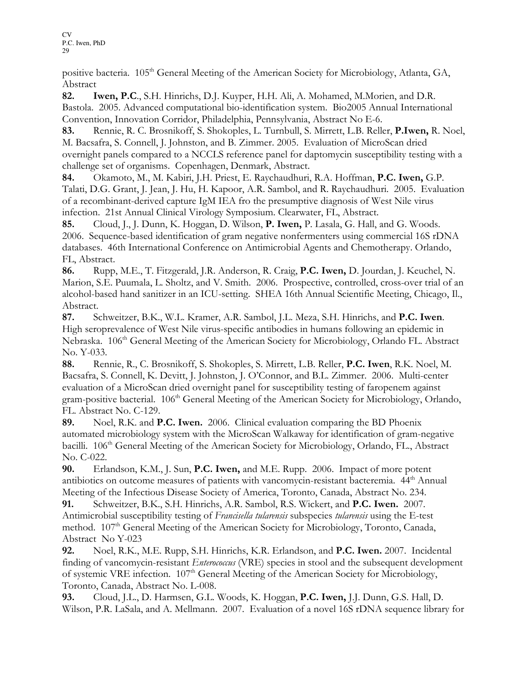positive bacteria. 105<sup>th</sup> General Meeting of the American Society for Microbiology, Atlanta, GA, Abstract

82. Iwen, P.C., S.H. Hinrichs, D.J. Kuyper, H.H. Ali, A. Mohamed, M.Morien, and D.R. Bastola. 2005. Advanced computational bio-identification system. Bio2005 Annual International Convention, Innovation Corridor, Philadelphia, Pennsylvania, Abstract No E-6.

83. Rennie, R. C. Brosnikoff, S. Shokoples, L. Turnbull, S. Mirrett, L.B. Reller, P.Iwen, R. Noel, M. Bacsafra, S. Connell, J. Johnston, and B. Zimmer. 2005. Evaluation of MicroScan dried overnight panels compared to a NCCLS reference panel for daptomycin susceptibility testing with a challenge set of organisms. Copenhagen, Denmark, Abstract.

84. Okamoto, M., M. Kabiri, J.H. Priest, E. Raychaudhuri, R.A. Hoffman, P.C. Iwen, G.P. Talati, D.G. Grant, J. Jean, J. Hu, H. Kapoor, A.R. Sambol, and R. Raychaudhuri. 2005. Evaluation of a recombinant-derived capture IgM IEA fro the presumptive diagnosis of West Nile virus infection. 21st Annual Clinical Virology Symposium. Clearwater, FL, Abstract.

85. Cloud, J., J. Dunn, K. Hoggan, D. Wilson, P. Iwen, P. Lasala, G. Hall, and G. Woods. 2006. Sequence-based identification of gram negative nonfermenters using commercial 16S rDNA databases. 46th International Conference on Antimicrobial Agents and Chemotherapy. Orlando, FL, Abstract.

86. Rupp, M.E., T. Fitzgerald, J.R. Anderson, R. Craig, P.C. Iwen, D. Jourdan, J. Keuchel, N. Marion, S.E. Puumala, L. Sholtz, and V. Smith. 2006. Prospective, controlled, cross-over trial of an alcohol-based hand sanitizer in an ICU-setting. SHEA 16th Annual Scientific Meeting, Chicago, Il., Abstract.

87. Schweitzer, B.K., W.L. Kramer, A.R. Sambol, J.L. Meza, S.H. Hinrichs, and P.C. Iwen. High seroprevalence of West Nile virus-specific antibodies in humans following an epidemic in Nebraska. 106<sup>th</sup> General Meeting of the American Society for Microbiology, Orlando FL. Abstract No. Y-033.

88. Rennie, R., C. Brosnikoff, S. Shokoples, S. Mirrett, L.B. Reller, P.C. Iwen, R.K. Noel, M. Bacsafra, S. Connell, K. Devitt, J. Johnston, J. O'Connor, and B.L. Zimmer. 2006. Multi-center evaluation of a MicroScan dried overnight panel for susceptibility testing of faropenem against gram-positive bacterial. 106<sup>th</sup> General Meeting of the American Society for Microbiology, Orlando, FL. Abstract No. C-129.

89. Noel, R.K. and P.C. Iwen. 2006. Clinical evaluation comparing the BD Phoenix automated microbiology system with the MicroScan Walkaway for identification of gram-negative bacilli. 106<sup>th</sup> General Meeting of the American Society for Microbiology, Orlando, FL., Abstract No. C-022.

90. Erlandson, K.M., J. Sun, P.C. Iwen, and M.E. Rupp. 2006. Impact of more potent antibiotics on outcome measures of patients with vancomycin-resistant bacteremia.  $44<sup>th</sup>$  Annual Meeting of the Infectious Disease Society of America, Toronto, Canada, Abstract No. 234.

91. Schweitzer, B.K., S.H. Hinrichs, A.R. Sambol, R.S. Wickert, and P.C. Iwen. 2007. Antimicrobial susceptibility testing of Francisella tularensis subspecies tularensis using the E-test method. 107<sup>th</sup> General Meeting of the American Society for Microbiology, Toronto, Canada, Abstract No Y-023

92. Noel, R.K., M.E. Rupp, S.H. Hinrichs, K.R. Erlandson, and P.C. Iwen. 2007. Incidental finding of vancomycin-resistant *Enterococcus* (VRE) species in stool and the subsequent development of systemic VRE infection. 107<sup>th</sup> General Meeting of the American Society for Microbiology, Toronto, Canada, Abstract No. L-008.

93. Cloud, J.L., D. Harmsen, G.L. Woods, K. Hoggan, P.C. Iwen, J.J. Dunn, G.S. Hall, D. Wilson, P.R. LaSala, and A. Mellmann. 2007. Evaluation of a novel 16S rDNA sequence library for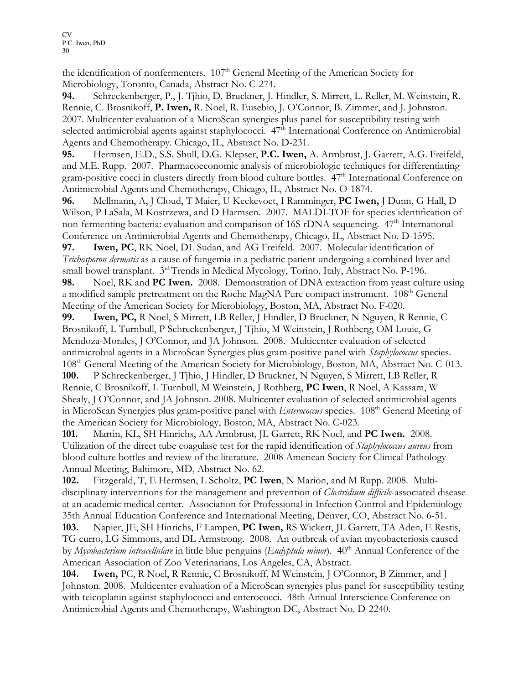the identification of nonfermenters. 107<sup>th</sup> General Meeting of the American Society for Microbiology, Toronto, Canada, Abstract No. C-274.

94. Schreckenberger, P., J. Tjhio, D. Bruckner, J. Hindler, S. Mirrett, L. Reller, M. Weinstein, R. Rennie, C. Brosnikoff, P. Iwen, R. Noel, R. Eusebio, J. O'Connor, B. Zimmer, and J. Johnston. 2007. Multicenter evaluation of a MicroScan synergies plus panel for susceptibility testing with selected antimicrobial agents against staphylococci. 47<sup>th</sup> International Conference on Antimicrobial Agents and Chemotherapy. Chicago, IL, Abstract No. D-231.

95. Hermsen, E.D., S.S. Shull, D.G. Klepser, P.C. Iwen, A. Armbrust, J. Garrett, A.G. Freifeld, and M.E. Rupp. 2007. Pharmacoeconomic analysis of microbiologic techniques for differentiating gram-positive cocci in clusters directly from blood culture bottles. 47<sup>th</sup> International Conference on Antimicrobial Agents and Chemotherapy, Chicago, IL, Abstract No. O-1874.

96. Mellmann, A, J Cloud, T Maier, U Keckevoet, I Ramminger, PC Iwen, J Dunn, G Hall, D Wilson, P LaSala, M Kostrzewa, and D Harmsen. 2007. MALDI-TOF for species identification of non-fermenting bacteria: evaluation and comparison of 16S rDNA sequencing. 47<sup>th</sup> International Conference on Antimicrobial Agents and Chemotherapy, Chicago, IL, Abstract No. D-1595.

97. Iwen, PC, RK Noel, DL Sudan, and AG Freifeld. 2007. Molecular identification of Trichosporon dermatis as a cause of fungemia in a pediatric patient undergoing a combined liver and small bowel transplant.  $3<sup>rd</sup>$  Trends in Medical Mycology, Torino, Italy, Abstract No. P-196.

98. Noel, RK and PC Iwen. 2008. Demonstration of DNA extraction from yeast culture using a modified sample pretreatment on the Roche MagNA Pure compact instrument. 108<sup>th</sup> General Meeting of the American Society for Microbiology, Boston, MA, Abstract No. F-020.

99. Iwen, PC, R Noel, S Mirrett, LB Reller, J Hindler, D Bruckner, N Nguyen, R Rennie, C Brosnikoff, L Turnbull, P Schreckenberger, J Tjhio, M Weinstein, J Rothberg, OM Louie, G Mendoza-Morales, J O'Connor, and JA Johnson. 2008. Multicenter evaluation of selected antimicrobial agents in a MicroScan Synergies plus gram-positive panel with *Staphylococcus* species. 108<sup>th</sup> General Meeting of the American Society for Microbiology, Boston, MA, Abstract No. C-013.

100. P Schreckenberger, J Tjhio, J Hindler, D Bruckner, N Nguyen, S Mirrett, LB Reller, R Rennie, C Brosnikoff, L Turnbull, M Weinstein, J Rothberg, PC Iwen, R Noel, A Kassam, W Shealy, J O'Connor, and JA Johnson. 2008. Multicenter evaluation of selected antimicrobial agents in MicroScan Synergies plus gram-positive panel with *Enterococcus* species. 108<sup>th</sup> General Meeting of the American Society for Microbiology, Boston, MA, Abstract No. C-023.

101. Martin, KL, SH Hinrichs, AA Armbrust, JL Garrett, RK Noel, and PC Iwen. 2008. Utilization of the direct tube coagulase test for the rapid identification of *Staphylococcus aureus* from blood culture bottles and review of the literature. 2008 American Society for Clinical Pathology Annual Meeting, Baltimore, MD, Abstract No. 62.

102. Fitzgerald, T, E Hermsen, L Scholtz, PC Iwen, N Marion, and M Rupp. 2008. Multidisciplinary interventions for the management and prevention of *Clostridium difficile*-associated disease at an academic medical center. Association for Professional in Infection Control and Epidemiology 35th Annual Education Conference and International Meeting, Denver, CO, Abstract No. 6-51.

103. Napier, JE, SH Hinrichs, F Lampen, PC Iwen, RS Wickert, JL Garrett, TA Aden, E Restis, TG curro, LG Simmons, and DL Armstrong. 2008. An outbreak of avian mycobacteriosis caused by Mycobacterium intracellulare in little blue penguins (Eudyptula minor).  $40<sup>th</sup>$  Annual Conference of the American Association of Zoo Veterinarians, Los Angeles, CA, Abstract.

104. Iwen, PC, R Noel, R Rennie, C Brosnikoff, M Weinstein, J O'Connor, B Zimmer, and J Johnston. 2008. Multicenter evaluation of a MicroScan synergies plus panel for susceptibility testing with teicoplanin against staphylococci and enterococci. 48th Annual Interscience Conference on Antimicrobial Agents and Chemotherapy, Washington DC, Abstract No. D-2240.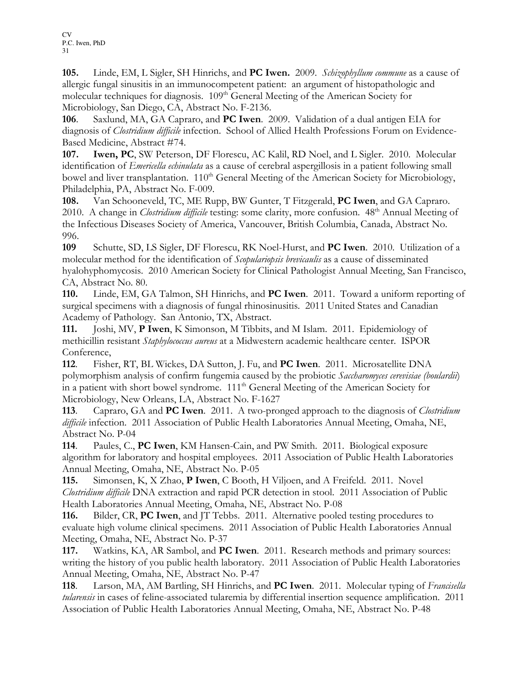105. Linde, EM, L Sigler, SH Hinrichs, and PC Iwen. 2009. Schizophyllum commune as a cause of allergic fungal sinusitis in an immunocompetent patient: an argument of histopathologic and molecular techniques for diagnosis. 109<sup>th</sup> General Meeting of the American Society for Microbiology, San Diego, CA, Abstract No. F-2136.

106. Saxlund, MA, GA Capraro, and PC Iwen. 2009. Validation of a dual antigen EIA for diagnosis of *Clostridium difficile* infection. School of Allied Health Professions Forum on Evidence-Based Medicine, Abstract #74.

107. Iwen, PC, SW Peterson, DF Florescu, AC Kalil, RD Noel, and L Sigler. 2010. Molecular identification of *Emericella echinulata* as a cause of cerebral aspergillosis in a patient following small bowel and liver transplantation. 110<sup>th</sup> General Meeting of the American Society for Microbiology, Philadelphia, PA, Abstract No. F-009.

108. Van Schooneveld, TC, ME Rupp, BW Gunter, T Fitzgerald, PC Iwen, and GA Capraro. 2010. A change in *Clostridium difficile* testing: some clarity, more confusion. 48<sup>th</sup> Annual Meeting of the Infectious Diseases Society of America, Vancouver, British Columbia, Canada, Abstract No. 996.

109 Schutte, SD, LS Sigler, DF Florescu, RK Noel-Hurst, and PC Iwen. 2010. Utilization of a molecular method for the identification of *Scopulariopsis brevicaulis* as a cause of disseminated hyalohyphomycosis. 2010 American Society for Clinical Pathologist Annual Meeting, San Francisco, CA, Abstract No. 80.

110. Linde, EM, GA Talmon, SH Hinrichs, and PC Iwen. 2011. Toward a uniform reporting of surgical specimens with a diagnosis of fungal rhinosinusitis. 2011 United States and Canadian Academy of Pathology. San Antonio, TX, Abstract.

111. Joshi, MV, P Iwen, K Simonson, M Tibbits, and M Islam. 2011. Epidemiology of methicillin resistant Staphylococcus aureus at a Midwestern academic healthcare center. ISPOR Conference,

112. Fisher, RT, BL Wickes, DA Sutton, J. Fu, and PC Iwen. 2011. Microsatellite DNA polymorphism analysis of confirm fungemia caused by the probiotic Saccharomyces cerevisiae (boulardii) in a patient with short bowel syndrome. 111<sup>th</sup> General Meeting of the American Society for Microbiology, New Orleans, LA, Abstract No. F-1627

113. Capraro, GA and PC Iwen. 2011. A two-pronged approach to the diagnosis of *Clostridium* difficile infection. 2011 Association of Public Health Laboratories Annual Meeting, Omaha, NE, Abstract No. P-04

114. Paules, C., PC Iwen, KM Hansen-Cain, and PW Smith. 2011. Biological exposure algorithm for laboratory and hospital employees. 2011 Association of Public Health Laboratories Annual Meeting, Omaha, NE, Abstract No. P-05

115. Simonsen, K, X Zhao, P Iwen, C Booth, H Viljoen, and A Freifeld. 2011. Novel Clostridium difficile DNA extraction and rapid PCR detection in stool. 2011 Association of Public Health Laboratories Annual Meeting, Omaha, NE, Abstract No. P-08

116. Bilder, CR, PC Iwen, and JT Tebbs. 2011. Alternative pooled testing procedures to evaluate high volume clinical specimens. 2011 Association of Public Health Laboratories Annual Meeting, Omaha, NE, Abstract No. P-37

117. Watkins, KA, AR Sambol, and PC Iwen. 2011. Research methods and primary sources: writing the history of you public health laboratory. 2011 Association of Public Health Laboratories Annual Meeting, Omaha, NE, Abstract No. P-47

118. Larson, MA, AM Bartling, SH Hinrichs, and PC Iwen. 2011. Molecular typing of Francisella tularensis in cases of feline-associated tularemia by differential insertion sequence amplification. 2011 Association of Public Health Laboratories Annual Meeting, Omaha, NE, Abstract No. P-48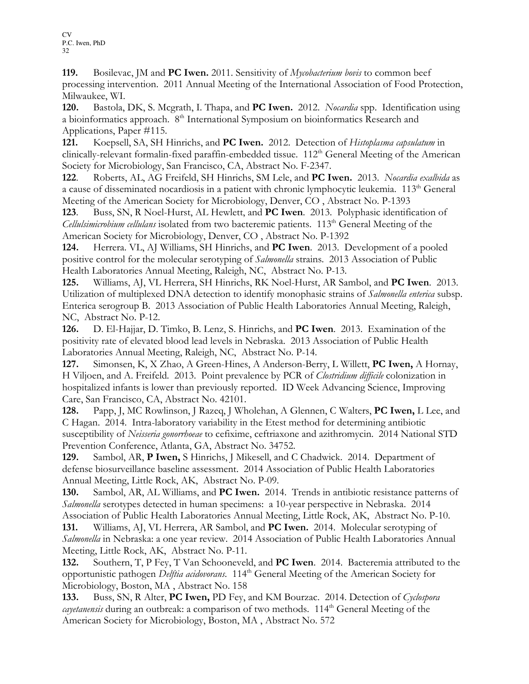119. Bosilevac, JM and PC Iwen. 2011. Sensitivity of *Mycobacterium bovis* to common beef processing intervention. 2011 Annual Meeting of the International Association of Food Protection, Milwaukee, WI.

120. Bastola, DK, S. Mcgrath, I. Thapa, and PC Iwen. 2012. Nocardia spp. Identification using a bioinformatics approach. 8<sup>th</sup> International Symposium on bioinformatics Research and Applications, Paper #115.

121. Koepsell, SA, SH Hinrichs, and PC Iwen. 2012. Detection of Histoplasma capsulatum in clinically-relevant formalin-fixed paraffin-embedded tissue. 112<sup>th</sup> General Meeting of the American Society for Microbiology, San Francisco, CA, Abstract No. F-2347.

122. Roberts, AL, AG Freifeld, SH Hinrichs, SM Lele, and PC Iwen. 2013. Nocardia exalbida as a cause of disseminated nocardiosis in a patient with chronic lymphocytic leukemia. 113<sup>th</sup> General Meeting of the American Society for Microbiology, Denver, CO , Abstract No. P-1393

123. Buss, SN, R Noel-Hurst, AL Hewlett, and PC Iwen. 2013. Polyphasic identification of *Cellulsimicrobium cellulans* isolated from two bacteremic patients.  $113<sup>th</sup>$  General Meeting of the American Society for Microbiology, Denver, CO , Abstract No. P-1392

124. Herrera. VL, AJ Williams, SH Hinrichs, and PC Iwen. 2013. Development of a pooled positive control for the molecular serotyping of Salmonella strains. 2013 Association of Public Health Laboratories Annual Meeting, Raleigh, NC, Abstract No. P-13.

125. Williams, AJ, VL Herrera, SH Hinrichs, RK Noel-Hurst, AR Sambol, and PC Iwen. 2013. Utilization of multiplexed DNA detection to identify monophasic strains of *Salmonella enterica* subsp. Enterica serogroup B. 2013 Association of Public Health Laboratories Annual Meeting, Raleigh, NC, Abstract No. P-12.

126. D. El-Hajjar, D. Timko, B. Lenz, S. Hinrichs, and PC Iwen. 2013. Examination of the positivity rate of elevated blood lead levels in Nebraska. 2013 Association of Public Health Laboratories Annual Meeting, Raleigh, NC, Abstract No. P-14.

127. Simonsen, K, X Zhao, A Green-Hines, A Anderson-Berry, L Willett, PC Iwen, A Hornay, H Viljoen, and A. Freifeld. 2013. Point prevalence by PCR of Clostridium difficile colonization in hospitalized infants is lower than previously reported. ID Week Advancing Science, Improving Care, San Francisco, CA, Abstract No. 42101.

128. Papp, J, MC Rowlinson, J Razeq, J Wholehan, A Glennen, C Walters, PC Iwen, L Lee, and C Hagan. 2014. Intra-laboratory variability in the Etest method for determining antibiotic susceptibility of Neisseria gonorrhoeae to cefixime, ceftriaxone and azithromycin. 2014 National STD Prevention Conference, Atlanta, GA, Abstract No. 34752.

129. Sambol, AR, P Iwen, S Hinrichs, J Mikesell, and C Chadwick. 2014. Department of defense biosurveillance baseline assessment. 2014 Association of Public Health Laboratories Annual Meeting, Little Rock, AK, Abstract No. P-09.

130. Sambol, AR, AL Williams, and PC Iwen. 2014. Trends in antibiotic resistance patterns of Salmonella serotypes detected in human specimens: a 10-year perspective in Nebraska. 2014 Association of Public Health Laboratories Annual Meeting, Little Rock, AK, Abstract No. P-10.

131. Williams, AJ, VL Herrera, AR Sambol, and PC Iwen. 2014. Molecular serotyping of Salmonella in Nebraska: a one year review. 2014 Association of Public Health Laboratories Annual Meeting, Little Rock, AK, Abstract No. P-11.

132. Southern, T, P Fey, T Van Schooneveld, and **PC Iwen**. 2014. Bacteremia attributed to the opportunistic pathogen *Delftia acidovorans*. 114<sup>th</sup> General Meeting of the American Society for Microbiology, Boston, MA , Abstract No. 158

133. Buss, SN, R Alter, PC Iwen, PD Fey, and KM Bourzac. 2014. Detection of Cyclospora *cayetanensis* during an outbreak: a comparison of two methods.  $114<sup>th</sup>$  General Meeting of the American Society for Microbiology, Boston, MA , Abstract No. 572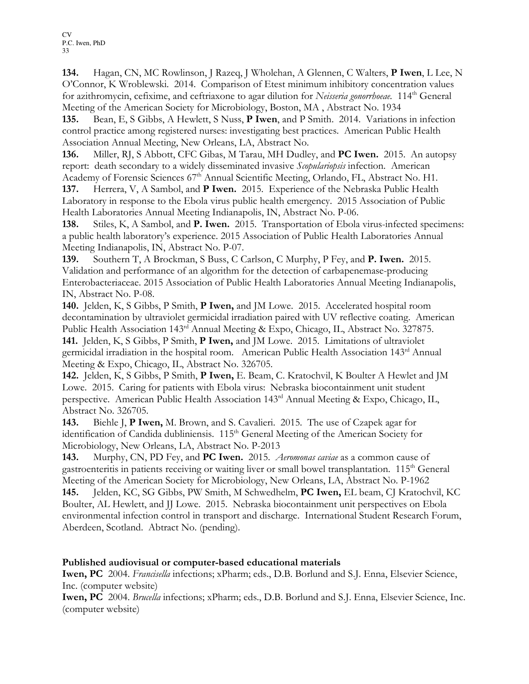134. Hagan, CN, MC Rowlinson, J Razeq, J Wholehan, A Glennen, C Walters, P Iwen, L Lee, N O'Connor, K Wroblewski. 2014. Comparison of Etest minimum inhibitory concentration values for azithromycin, cefixime, and ceftriaxone to agar dilution for Neisseria gonorrhoeae. 114<sup>th</sup> General Meeting of the American Society for Microbiology, Boston, MA , Abstract No. 1934

135. Bean, E, S Gibbs, A Hewlett, S Nuss, P Iwen, and P Smith. 2014. Variations in infection control practice among registered nurses: investigating best practices. American Public Health Association Annual Meeting, New Orleans, LA, Abstract No.

136. Miller, RJ, S Abbott, CFC Gibas, M Tarau, MH Dudley, and **PC Iwen.** 2015. An autopsy report: death secondary to a widely disseminated invasive Scopulariopsis infection. American Academy of Forensic Sciences 67<sup>th</sup> Annual Scientific Meeting, Orlando, FL, Abstract No. H1.

137. Herrera, V, A Sambol, and P Iwen. 2015. Experience of the Nebraska Public Health Laboratory in response to the Ebola virus public health emergency. 2015 Association of Public Health Laboratories Annual Meeting Indianapolis, IN, Abstract No. P-06.

138. Stiles, K, A Sambol, and P. Iwen. 2015. Transportation of Ebola virus-infected specimens: a public health laboratory's experience. 2015 Association of Public Health Laboratories Annual Meeting Indianapolis, IN, Abstract No. P-07.

139. Southern T, A Brockman, S Buss, C Carlson, C Murphy, P Fey, and P. Iwen. 2015. Validation and performance of an algorithm for the detection of carbapenemase-producing Enterobacteriaceae. 2015 Association of Public Health Laboratories Annual Meeting Indianapolis, IN, Abstract No. P-08.

140. Jelden, K, S Gibbs, P Smith, P Iwen, and JM Lowe. 2015. Accelerated hospital room decontamination by ultraviolet germicidal irradiation paired with UV reflective coating. American Public Health Association 143<sup>rd</sup> Annual Meeting & Expo, Chicago, IL, Abstract No. 327875. 141. Jelden, K, S Gibbs, P Smith, P Iwen, and JM Lowe. 2015. Limitations of ultraviolet germicidal irradiation in the hospital room. American Public Health Association 143rd Annual Meeting & Expo, Chicago, IL, Abstract No. 326705.

142. Jelden, K, S Gibbs, P Smith, P Iwen, E. Beam, C. Kratochvil, K Boulter A Hewlet and JM Lowe. 2015. Caring for patients with Ebola virus: Nebraska biocontainment unit student perspective. American Public Health Association 143<sup>rd</sup> Annual Meeting & Expo, Chicago, IL, Abstract No. 326705.

143. Biehle J, P Iwen, M. Brown, and S. Cavalieri. 2015. The use of Czapek agar for identification of Candida dubliniensis.  $115<sup>th</sup>$  General Meeting of the American Society for Microbiology, New Orleans, LA, Abstract No. P-2013

143. Murphy, CN, PD Fey, and PC Iwen. 2015. *Aeromonas caviae* as a common cause of gastroenteritis in patients receiving or waiting liver or small bowel transplantation. 115<sup>th</sup> General Meeting of the American Society for Microbiology, New Orleans, LA, Abstract No. P-1962 145. Jelden, KC, SG Gibbs, PW Smith, M Schwedhelm, PC Iwen, EL beam, CJ Kratochvil, KC Boulter, AL Hewlett, and JJ Lowe. 2015. Nebraska biocontainment unit perspectives on Ebola environmental infection control in transport and discharge. International Student Research Forum, Aberdeen, Scotland. Abtract No. (pending).

#### Published audiovisual or computer-based educational materials

Iwen, PC 2004. Francisella infections; xPharm; eds., D.B. Borlund and S.J. Enna, Elsevier Science, Inc. (computer website)

Iwen, PC 2004. Brucella infections; xPharm; eds., D.B. Borlund and S.J. Enna, Elsevier Science, Inc. (computer website)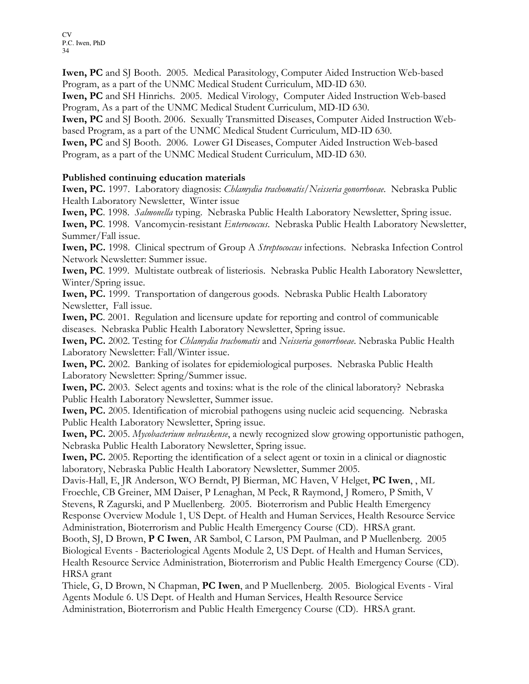Iwen, PC and SJ Booth. 2005. Medical Parasitology, Computer Aided Instruction Web-based Program, as a part of the UNMC Medical Student Curriculum, MD-ID 630.

Iwen, PC and SH Hinrichs. 2005. Medical Virology, Computer Aided Instruction Web-based Program, As a part of the UNMC Medical Student Curriculum, MD-ID 630.

Iwen, PC and SJ Booth. 2006. Sexually Transmitted Diseases, Computer Aided Instruction Webbased Program, as a part of the UNMC Medical Student Curriculum, MD-ID 630.

Iwen, PC and SJ Booth. 2006. Lower GI Diseases, Computer Aided Instruction Web-based Program, as a part of the UNMC Medical Student Curriculum, MD-ID 630.

#### Published continuing education materials

Iwen, PC. 1997. Laboratory diagnosis: Chlamydia trachomatis/Neisseria gonorrhoeae. Nebraska Public Health Laboratory Newsletter, Winter issue

Iwen, PC. 1998. Salmonella typing. Nebraska Public Health Laboratory Newsletter, Spring issue. Iwen, PC. 1998. Vancomycin-resistant Enterococcus. Nebraska Public Health Laboratory Newsletter, Summer/Fall issue.

Iwen, PC. 1998. Clinical spectrum of Group A Streptococcus infections. Nebraska Infection Control Network Newsletter: Summer issue.

Iwen, PC. 1999. Multistate outbreak of listeriosis. Nebraska Public Health Laboratory Newsletter, Winter/Spring issue.

Iwen, PC. 1999. Transportation of dangerous goods. Nebraska Public Health Laboratory Newsletter, Fall issue.

Iwen, PC. 2001. Regulation and licensure update for reporting and control of communicable diseases. Nebraska Public Health Laboratory Newsletter, Spring issue.

Iwen, PC. 2002. Testing for *Chlamydia trachomatis* and *Neisseria gonorrhoeae*. Nebraska Public Health Laboratory Newsletter: Fall/Winter issue.

Iwen, PC. 2002. Banking of isolates for epidemiological purposes. Nebraska Public Health Laboratory Newsletter: Spring/Summer issue.

Iwen, PC. 2003. Select agents and toxins: what is the role of the clinical laboratory? Nebraska Public Health Laboratory Newsletter, Summer issue.

Iwen, PC. 2005. Identification of microbial pathogens using nucleic acid sequencing. Nebraska Public Health Laboratory Newsletter, Spring issue.

Iwen, PC. 2005. Mycobacterium nebraskense, a newly recognized slow growing opportunistic pathogen, Nebraska Public Health Laboratory Newsletter, Spring issue.

Iwen, PC. 2005. Reporting the identification of a select agent or toxin in a clinical or diagnostic laboratory, Nebraska Public Health Laboratory Newsletter, Summer 2005.

Davis-Hall, E, JR Anderson, WO Berndt, PJ Bierman, MC Haven, V Helget, PC Iwen, , ML Froechle, CB Greiner, MM Daiser, P Lenaghan, M Peck, R Raymond, J Romero, P Smith, V Stevens, R Zagurski, and P Muellenberg. 2005. Bioterrorism and Public Health Emergency Response Overview Module 1, US Dept. of Health and Human Services, Health Resource Service Administration, Bioterrorism and Public Health Emergency Course (CD). HRSA grant.

Booth, SJ, D Brown, P C Iwen, AR Sambol, C Larson, PM Paulman, and P Muellenberg. 2005 Biological Events - Bacteriological Agents Module 2, US Dept. of Health and Human Services, Health Resource Service Administration, Bioterrorism and Public Health Emergency Course (CD). HRSA grant

Thiele, G, D Brown, N Chapman, PC Iwen, and P Muellenberg. 2005. Biological Events - Viral Agents Module 6. US Dept. of Health and Human Services, Health Resource Service

Administration, Bioterrorism and Public Health Emergency Course (CD). HRSA grant.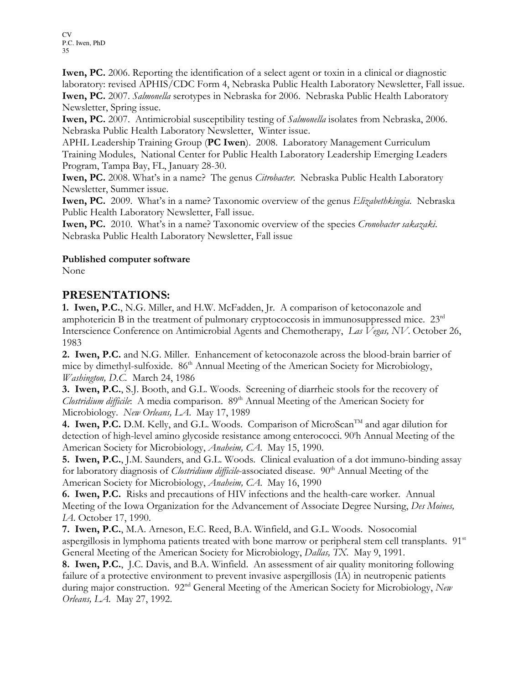Iwen, PC. 2006. Reporting the identification of a select agent or toxin in a clinical or diagnostic laboratory: revised APHIS/CDC Form 4, Nebraska Public Health Laboratory Newsletter, Fall issue. Iwen, PC. 2007. Salmonella serotypes in Nebraska for 2006. Nebraska Public Health Laboratory Newsletter, Spring issue.

Iwen, PC. 2007. Antimicrobial susceptibility testing of *Salmonella* isolates from Nebraska, 2006. Nebraska Public Health Laboratory Newsletter, Winter issue.

APHL Leadership Training Group (PC Iwen). 2008. Laboratory Management Curriculum Training Modules, National Center for Public Health Laboratory Leadership Emerging Leaders Program, Tampa Bay, FL, January 28-30.

**Iwen, PC.** 2008. What's in a name? The genus *Citrobacter*. Nebraska Public Health Laboratory Newsletter, Summer issue.

**Iwen, PC.** 2009. What's in a name? Taxonomic overview of the genus *Elizabethkingia*. Nebraska Public Health Laboratory Newsletter, Fall issue.

Iwen, PC. 2010. What's in a name? Taxonomic overview of the species *Cronobacter sakazaki*. Nebraska Public Health Laboratory Newsletter, Fall issue

#### Published computer software

None

### PRESENTATIONS:

1. Iwen, P.C., N.G. Miller, and H.W. McFadden, Jr. A comparison of ketoconazole and amphotericin B in the treatment of pulmonary cryptococcosis in immunosuppressed mice.  $23<sup>rd</sup>$ Interscience Conference on Antimicrobial Agents and Chemotherapy, Las Vegas, NV. October 26, 1983

2. Iwen, P.C. and N.G. Miller. Enhancement of ketoconazole across the blood-brain barrier of mice by dimethyl-sulfoxide. 86<sup>th</sup> Annual Meeting of the American Society for Microbiology, Washington, D.C. March 24, 1986

3. Iwen, P.C., S.J. Booth, and G.L. Woods. Screening of diarrheic stools for the recovery of Clostridium difficile: A media comparison. 89<sup>th</sup> Annual Meeting of the American Society for Microbiology. New Orleans, LA. May 17, 1989

4. Iwen, P.C. D.M. Kelly, and G.L. Woods. Comparison of MicroScan<sup>TM</sup> and agar dilution for detection of high-level amino glycoside resistance among enterococci. 90<sup>th</sup> Annual Meeting of the American Society for Microbiology, Anaheim, CA. May 15, 1990.

5. Iwen, P.C., J.M. Saunders, and G.L. Woods. Clinical evaluation of a dot immuno-binding assay for laboratory diagnosis of *Clostridium difficile*-associated disease. 90<sup>th</sup> Annual Meeting of the American Society for Microbiology, Anaheim, CA. May 16, 1990

6. Iwen, P.C. Risks and precautions of HIV infections and the health-care worker. Annual Meeting of the Iowa Organization for the Advancement of Associate Degree Nursing, Des Moines, IA. October 17, 1990.

7. Iwen, P.C., M.A. Arneson, E.C. Reed, B.A. Winfield, and G.L. Woods. Nosocomial aspergillosis in lymphoma patients treated with bone marrow or peripheral stem cell transplants. 91<sup>st</sup> General Meeting of the American Society for Microbiology, Dallas, TX. May 9, 1991.

8. Iwen, P.C., J.C. Davis, and B.A. Winfield. An assessment of air quality monitoring following failure of a protective environment to prevent invasive aspergillosis (IA) in neutropenic patients during major construction. 92<sup>nd</sup> General Meeting of the American Society for Microbiology, New Orleans, LA. May 27, 1992.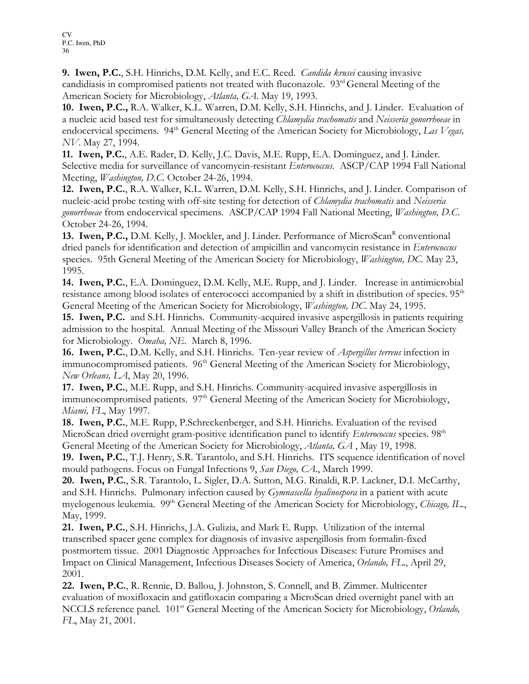9. Iwen, P.C., S.H. Hinrichs, D.M. Kelly, and E.C. Reed. *Candida krusei* causing invasive candidiasis in compromised patients not treated with fluconazole. 93rd General Meeting of the American Society for Microbiology, Atlanta, GA. May 19, 1993.

10. Iwen, P.C., R.A. Walker, K.L. Warren, D.M. Kelly, S.H. Hinrichs, and J. Linder. Evaluation of a nucleic acid based test for simultaneously detecting Chlamydia trachomatis and Neisseria gonorrhoeae in endocervical specimens.  $94<sup>th</sup>$  General Meeting of the American Society for Microbiology, Las Vegas, NV. May 27, 1994.

11. Iwen, P.C., A.E. Rader, D. Kelly, J.C. Davis, M.E. Rupp, E.A. Dominguez, and J. Linder. Selective media for surveillance of vancomycin-resistant Enterococcus. ASCP/CAP 1994 Fall National Meeting, Washington, D.C. October 24-26, 1994.

12. Iwen, P.C., R.A. Walker, K.L. Warren, D.M. Kelly, S.H. Hinrichs, and J. Linder. Comparison of nucleic-acid probe testing with off-site testing for detection of *Chlamydia trachomatis* and Neisseria gonorrhoeae from endocervical specimens. ASCP/CAP 1994 Fall National Meeting, *Washington, D.C.* October 24-26, 1994.

13. Iwen, P.C., D.M. Kelly, J. Mockler, and J. Linder. Performance of MicroScan<sup>R</sup> conventional dried panels for identification and detection of ampicillin and vancomycin resistance in *Enterococcus* species. 95th General Meeting of the American Society for Microbiology, *Washington, DC*. May 23, 1995.

14. Iwen, P.C., E.A. Dominguez, D.M. Kelly, M.E. Rupp, and J. Linder. Increase in antimicrobial resistance among blood isolates of enterococci accompanied by a shift in distribution of species. 95<sup>th</sup> General Meeting of the American Society for Microbiology, Washington, DC. May 24, 1995.

15. Iwen, P.C. and S.H. Hinrichs. Community-acquired invasive aspergillosis in patients requiring admission to the hospital. Annual Meeting of the Missouri Valley Branch of the American Society for Microbiology. Omaha, NE. March 8, 1996.

16. Iwen, P.C., D.M. Kelly, and S.H. Hinrichs. Ten-year review of *Aspergillus terreus* infection in immunocompromised patients. 96<sup>th</sup> General Meeting of the American Society for Microbiology, New Orleans, LA, May 20, 1996.

17. Iwen, P.C., M.E. Rupp, and S.H. Hinrichs. Community-acquired invasive aspergillosis in immunocompromised patients. 97<sup>th</sup> General Meeting of the American Society for Microbiology, Miami, FL, May 1997.

18. Iwen, P.C., M.E. Rupp, P.Schreckenberger, and S.H. Hinrichs. Evaluation of the revised MicroScan dried overnight gram-positive identification panel to identify *Enterococcus* species. 98<sup>th</sup> General Meeting of the American Society for Microbiology, Atlanta, GA , May 19, 1998.

19. Iwen, P.C., T.J. Henry, S.R. Tarantolo, and S.H. Hinrichs. ITS sequence identification of novel mould pathogens. Focus on Fungal Infections 9, San Diego, CA., March 1999.

20. Iwen, P.C., S.R. Tarantolo, L. Sigler, D.A. Sutton, M.G. Rinaldi, R.P. Lackner, D.I. McCarthy, and S.H. Hinrichs. Pulmonary infection caused by Gymnascella hyalinospora in a patient with acute myelogenous leukemia. 99<sup>th</sup> General Meeting of the American Society for Microbiology, Chicago, IL., May, 1999.

21. Iwen, P.C., S.H. Hinrichs, J.A. Gulizia, and Mark E. Rupp. Utilization of the internal transcribed spacer gene complex for diagnosis of invasive aspergillosis from formalin-fixed postmortem tissue. 2001 Diagnostic Approaches for Infectious Diseases: Future Promises and Impact on Clinical Management, Infectious Diseases Society of America, Orlando, FL., April 29, 2001.

22. Iwen, P.C., R. Rennie, D. Ballou, J. Johnston, S. Connell, and B. Zimmer. Multicenter evaluation of moxifloxacin and gatifloxacin comparing a MicroScan dried overnight panel with an NCCLS reference panel. 101<sup>st</sup> General Meeting of the American Society for Microbiology, Orlando, FL, May 21, 2001.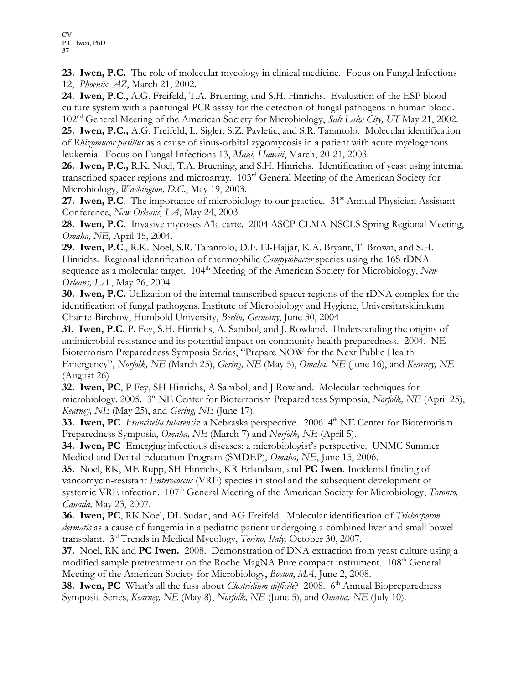23. Iwen, P.C. The role of molecular mycology in clinical medicine. Focus on Fungal Infections 12, Phoenix, AZ, March 21, 2002.

24. Iwen, P.C., A.G. Freifeld, T.A. Bruening, and S.H. Hinrichs. Evaluation of the ESP blood culture system with a panfungal PCR assay for the detection of fungal pathogens in human blood.  $102<sup>nd</sup>$  General Meeting of the American Society for Microbiology, *Salt Lake City*, UT May 21, 2002.

25. Iwen, P.C., A.G. Freifeld, L. Sigler, S.Z. Pavletic, and S.R. Tarantolo. Molecular identification of Rhizomucor pusillus as a cause of sinus-orbital zygomycosis in a patient with acute myelogenous leukemia. Focus on Fungal Infections 13, Maui, Hawaii, March, 20-21, 2003.

26. Iwen, P.C., R.K. Noel, T.A. Bruening, and S.H. Hinrichs. Identification of yeast using internal transcribed spacer regions and microarray. 103rd General Meeting of the American Society for Microbiology, *Washington*, D.C., May 19, 2003.

27. Iwen, P.C. The importance of microbiology to our practice.  $31<sup>st</sup>$  Annual Physician Assistant Conference, New Orleans, LA, May 24, 2003.

28. Iwen, P.C. Invasive mycoses A'la carte. 2004 ASCP-CLMA-NSCLS Spring Regional Meeting, Omaha, NE, April 15, 2004.

29. Iwen, P.C., R.K. Noel, S.R. Tarantolo, D.F. El-Hajjar, K.A. Bryant, T. Brown, and S.H. Hinrichs. Regional identification of thermophilic *Campylobacter* species using the 16S rDNA sequence as a molecular target. 104<sup>th</sup> Meeting of the American Society for Microbiology, New Orleans, LA , May 26, 2004.

30. Iwen, P.C. Utilization of the internal transcribed spacer regions of the rDNA complex for the identification of fungal pathogens. Institute of Microbiology and Hygiene, Universitatsklinikum Charite-Birchow, Humbold University, Berlin, Germany, June 30, 2004

31. Iwen, P.C. P. Fey, S.H. Hinrichs, A. Sambol, and J. Rowland. Understanding the origins of antimicrobial resistance and its potential impact on community health preparedness. 2004. NE Bioterrorism Preparedness Symposia Series, "Prepare NOW for the Next Public Health Emergency", Norfolk, NE (March 25), Gering, NE (May 5), Omaha, NE (June 16), and Kearney, NE (August 26).

32. Iwen, PC, P Fey, SH Hinrichs, A Sambol, and J Rowland. Molecular techniques for microbiology. 2005. 3<sup>rd</sup> NE Center for Bioterrorism Preparedness Symposia, Norfolk, NE (April 25), Kearney, NE (May 25), and Gering, NE (June 17).

33. Iwen, PC Francisella tularensis: a Nebraska perspective. 2006. 4<sup>th</sup> NE Center for Bioterrorism Preparedness Symposia, Omaha, NE (March 7) and Norfolk, NE (April 5).

34. Iwen, PC Emerging infectious diseases: a microbiologist's perspective. UNMC Summer Medical and Dental Education Program (SMDEP), Omaha, NE, June 15, 2006.

35. Noel, RK, ME Rupp, SH Hinrichs, KR Erlandson, and PC Iwen. Incidental finding of vancomycin-resistant Enterococcus (VRE) species in stool and the subsequent development of systemic VRE infection. 107<sup>th</sup> General Meeting of the American Society for Microbiology, Toronto, Canada, May 23, 2007.

36. Iwen, PC, RK Noel, DL Sudan, and AG Freifeld. Molecular identification of Trichosporon dermatis as a cause of fungemia in a pediatric patient undergoing a combined liver and small bowel transplant. 3<sup>rd</sup> Trends in Medical Mycology, Torino, Italy, October 30, 2007.

37. Noel, RK and PC Iwen. 2008. Demonstration of DNA extraction from yeast culture using a modified sample pretreatment on the Roche MagNA Pure compact instrument. 108<sup>th</sup> General Meeting of the American Society for Microbiology, Boston, MA, June 2, 2008.

38. Iwen, PC What's all the fuss about *Clostridium difficile*? 2008. 6<sup>th</sup> Annual Biopreparedness Symposia Series, Kearney, NE (May 8), Norfolk, NE (June 5), and Omaha, NE (July 10).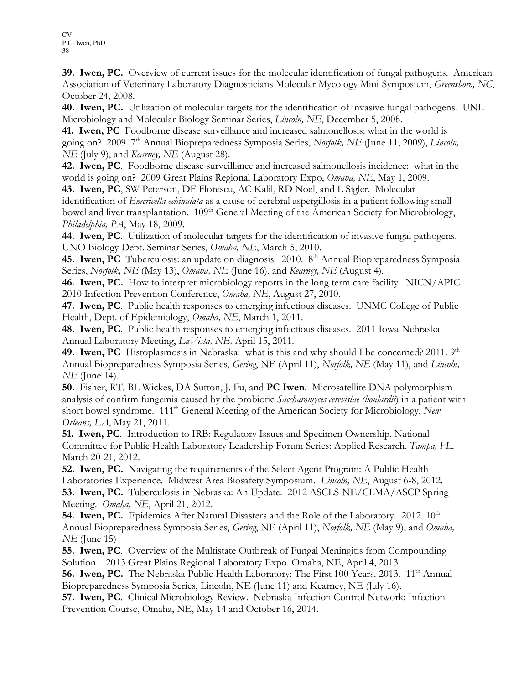39. Iwen, PC. Overview of current issues for the molecular identification of fungal pathogens. American Association of Veterinary Laboratory Diagnosticians Molecular Mycology Mini-Symposium, Greensboro, NC, October 24, 2008.

40. Iwen, PC. Utilization of molecular targets for the identification of invasive fungal pathogens. UNL Microbiology and Molecular Biology Seminar Series, *Lincoln*, NE, December 5, 2008.

41. Iwen, PC Foodborne disease surveillance and increased salmonellosis: what in the world is going on? 2009. 7<sup>th</sup> Annual Biopreparedness Symposia Series, Norfolk, NE (June 11, 2009), Lincoln, NE (July 9), and *Kearney*, NE (August 28).

42. Iwen, PC. Foodborne disease surveillance and increased salmonellosis incidence: what in the world is going on? 2009 Great Plains Regional Laboratory Expo, Omaha, NE, May 1, 2009.

43. Iwen, PC, SW Peterson, DF Florescu, AC Kalil, RD Noel, and L Sigler. Molecular identification of Emericella echinulata as a cause of cerebral aspergillosis in a patient following small bowel and liver transplantation. 109<sup>th</sup> General Meeting of the American Society for Microbiology, Philadelphia, PA, May 18, 2009.

44. Iwen, PC. Utilization of molecular targets for the identification of invasive fungal pathogens. UNO Biology Dept. Seminar Series, Omaha, NE, March 5, 2010.

45. Iwen, PC Tuberculosis: an update on diagnosis. 2010. 8<sup>th</sup> Annual Biopreparedness Symposia Series, Norfolk, NE (May 13), Omaha, NE (June 16), and Kearney, NE (August 4).

46. Iwen, PC. How to interpret microbiology reports in the long term care facility. NICN/APIC 2010 Infection Prevention Conference, Omaha, NE, August 27, 2010.

47. Iwen, PC. Public health responses to emerging infectious diseases. UNMC College of Public Health, Dept. of Epidemiology, Omaha, NE, March 1, 2011.

48. Iwen, PC. Public health responses to emerging infectious diseases. 2011 Iowa-Nebraska Annual Laboratory Meeting, LaVista, NE, April 15, 2011.

49. Iwen, PC Histoplasmosis in Nebraska: what is this and why should I be concerned? 2011.  $9<sup>th</sup>$ Annual Biopreparedness Symposia Series, Gering, NE (April 11), Norfolk, NE (May 11), and Lincoln, NE (June 14).

50. Fisher, RT, BL Wickes, DA Sutton, J. Fu, and PC Iwen. Microsatellite DNA polymorphism analysis of confirm fungemia caused by the probiotic Saccharomyces cerevisiae (boulardii) in a patient with short bowel syndrome. 111<sup>th</sup> General Meeting of the American Society for Microbiology, New Orleans, LA, May 21, 2011.

51. Iwen, PC. Introduction to IRB: Regulatory Issues and Specimen Ownership. National Committee for Public Health Laboratory Leadership Forum Series: Applied Research. Tampa, FL. March 20-21, 2012.

52. Iwen, PC. Navigating the requirements of the Select Agent Program: A Public Health Laboratories Experience. Midwest Area Biosafety Symposium. Lincoln, NE, August 6-8, 2012. 53. Iwen, PC. Tuberculosis in Nebraska: An Update. 2012 ASCLS-NE/CLMA/ASCP Spring Meeting. Omaha, NE, April 21, 2012.

**54. Iwen, PC.** Epidemics After Natural Disasters and the Role of the Laboratory. 2012.  $10<sup>th</sup>$ Annual Biopreparedness Symposia Series, Gering, NE (April 11), Norfolk, NE (May 9), and Omaha, NE (June 15)

55. Iwen, PC. Overview of the Multistate Outbreak of Fungal Meningitis from Compounding Solution. 2013 Great Plains Regional Laboratory Expo. Omaha, NE, April 4, 2013.

56. Iwen, PC. The Nebraska Public Health Laboratory: The First 100 Years. 2013. 11<sup>th</sup> Annual Biopreparedness Symposia Series, Lincoln, NE (June 11) and Kearney, NE (July 16).

57. Iwen, PC. Clinical Microbiology Review. Nebraska Infection Control Network: Infection Prevention Course, Omaha, NE, May 14 and October 16, 2014.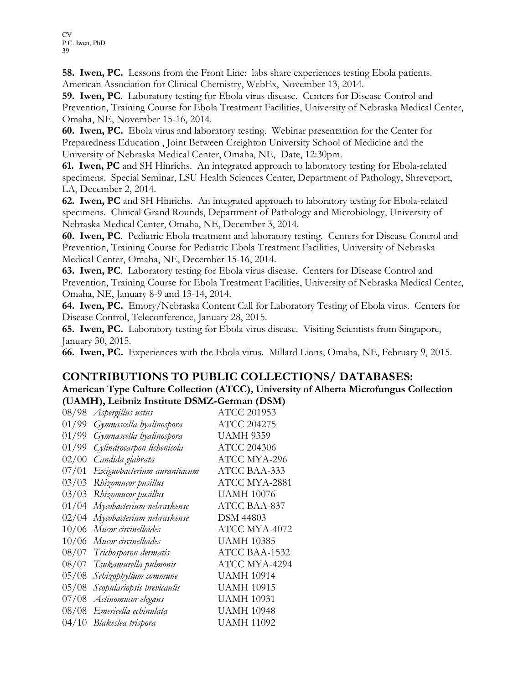58. Iwen, PC. Lessons from the Front Line: labs share experiences testing Ebola patients. American Association for Clinical Chemistry, WebEx, November 13, 2014.

59. Iwen, PC. Laboratory testing for Ebola virus disease. Centers for Disease Control and Prevention, Training Course for Ebola Treatment Facilities, University of Nebraska Medical Center, Omaha, NE, November 15-16, 2014.

60. Iwen, PC. Ebola virus and laboratory testing. Webinar presentation for the Center for Preparedness Education , Joint Between Creighton University School of Medicine and the University of Nebraska Medical Center, Omaha, NE, Date, 12:30pm.

61. Iwen, PC and SH Hinrichs. An integrated approach to laboratory testing for Ebola-related specimens. Special Seminar, LSU Health Sciences Center, Department of Pathology, Shreveport, LA, December 2, 2014.

62. Iwen, PC and SH Hinrichs. An integrated approach to laboratory testing for Ebola-related specimens. Clinical Grand Rounds, Department of Pathology and Microbiology, University of Nebraska Medical Center, Omaha, NE, December 3, 2014.

60. Iwen, PC. Pediatric Ebola treatment and laboratory testing. Centers for Disease Control and Prevention, Training Course for Pediatric Ebola Treatment Facilities, University of Nebraska Medical Center, Omaha, NE, December 15-16, 2014.

63. Iwen, PC. Laboratory testing for Ebola virus disease. Centers for Disease Control and Prevention, Training Course for Ebola Treatment Facilities, University of Nebraska Medical Center, Omaha, NE, January 8-9 and 13-14, 2014.

64. Iwen, PC. Emory/Nebraska Content Call for Laboratory Testing of Ebola virus. Centers for Disease Control, Teleconference, January 28, 2015.

65. Iwen, PC. Laboratory testing for Ebola virus disease. Visiting Scientists from Singapore, January 30, 2015.

66. Iwen, PC. Experiences with the Ebola virus. Millard Lions, Omaha, NE, February 9, 2015.

### CONTRIBUTIONS TO PUBLIC COLLECTIONS/ DATABASES:

American Type Culture Collection (ATCC), University of Alberta Microfungus Collection (UAMH), Leibniz Institute DSMZ-German (DSM)

| 08/98 | Aspergillus ustus           | <b>ATCC 201953</b> |
|-------|-----------------------------|--------------------|
| 01/99 | Gymnascella hyalinospora    | ATCC 204275        |
| 01/99 | Gymnascella hyalinospora    | <b>UAMH 9359</b>   |
| 01/99 | Cylindrocarpon lichenicola  | <b>ATCC 204306</b> |
| 02/00 | Candida glabrata            | ATCC MYA-296       |
| 07/01 | Exiguobacterium aurantiacum | ATCC BAA-333       |
| 03/03 | Rhizomucor pusillus         | ATCC MYA-2881      |
| 03/03 | Rhizomucor pusillus         | <b>UAMH 10076</b>  |
| 01/04 | Mycobacterium nebraskense   | ATCC BAA-837       |
| 02/04 | Mycobacterium nebraskense   | <b>DSM 44803</b>   |
| 10/06 | Mucor circinelloides        | ATCC MYA-4072      |
| 10/06 | Mucor circinelloides        | <b>UAMH 10385</b>  |
| 08/07 | Trichosporon dermatis       | ATCC BAA-1532      |
| 08/07 | Tsukamurella pulmonis       | ATCC MYA-4294      |
| 05/08 | Schizophyllum commune       | <b>UAMH 10914</b>  |
| 05/08 | Scopulariopsis brevicaulis  | <b>UAMH 10915</b>  |
| 07/08 | Actinomucor elegans         | <b>UAMH 10931</b>  |
| 08/08 | Emericella echinulata       | <b>UAMH 10948</b>  |
| 04/10 | Blakeslea trispora          | UAMH 11092         |
|       |                             |                    |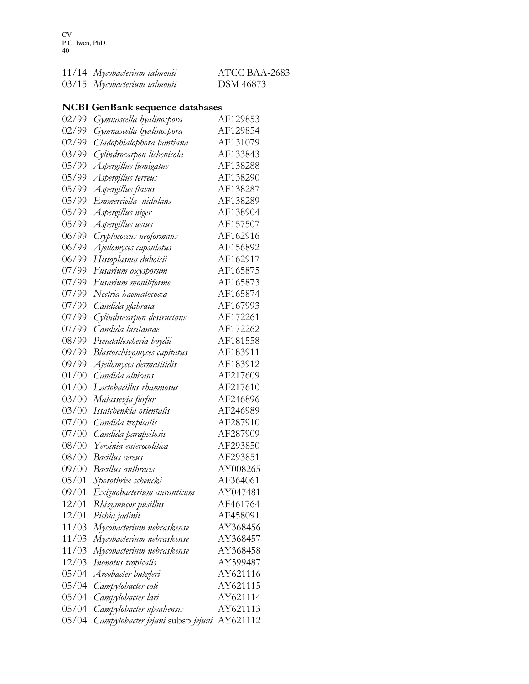| 11/14 Mycobacterium talmonii | ATCC BAA-2683 |
|------------------------------|---------------|
| 03/15 Mycobacterium talmonii | DSM 46873     |

## NCBI GenBank sequence databases

| 02/99 | Gymnascella hyalinospora          | AF129853 |
|-------|-----------------------------------|----------|
| 02/99 | Gymnascella hyalinospora          | AF129854 |
| 02/99 | Cladophialophora bantiana         | AF131079 |
| 03/99 | Cylindrocarpon lichenicola        | AF133843 |
| 05/99 | Aspergillus fumigatus             | AF138288 |
| 05/99 | Aspergillus terreus               | AF138290 |
| 05/99 | Aspergillus flavus                | AF138287 |
| 05/99 | Emmerciella nidulans              | AF138289 |
| 05/99 | Aspergillus niger                 | AF138904 |
| 05/99 | Aspergillus ustus                 | AF157507 |
| 06/99 | Cryptococcus neoformans           | AF162916 |
| 06/99 | Ajellomyces capsulatus            | AF156892 |
| 06/99 | Histoplasma duboisii              | AF162917 |
| 07/99 | Fusarium oxysporum                | AF165875 |
| 07/99 | Fusarium moniliforme              | AF165873 |
| 07/99 | Nectria haematococca              | AF165874 |
| 07/99 | Candida glabrata                  | AF167993 |
| 07/99 | Cylindrocarpon destructans        | AF172261 |
| 07/99 | Candida lusitaniae                | AF172262 |
| 08/99 | Pseudallescheria boydii           | AF181558 |
| 09/99 | Blastoschizomyces capitatus       | AF183911 |
| 09/99 | Ajellomyces dermatitidis          | AF183912 |
| 01/00 | Candida albicans                  | AF217609 |
| 01/00 | Lactobacillus rhamnosus           | AF217610 |
| 03/00 | Malassezia furfur                 | AF246896 |
| 03/00 | Issatchenkia orientalis           | AF246989 |
| 07/00 | Candida tropicalis                | AF287910 |
| 07/00 | Candida parapsilosis              | AF287909 |
| 08/00 | Yersinia enterocolitica           | AF293850 |
| 08/00 | Bacillus cereus                   | AF293851 |
| 09/00 | Bacillus anthracis                | AY008265 |
| 05/01 | Sporothrix schencki               | AF364061 |
| 09/01 | Exiguobacterium auranticum        | AY047481 |
| 12/01 | Rhizomucor pusillus               | AF461764 |
| 12/01 | Pichia jadinii                    | AF458091 |
| 11/03 | Mycobacterium nebraskense         | AY368456 |
| 11/03 | Mycobacterium nebraskense         | AY368457 |
| 11/03 | Mycobacterium nebraskense         | AY368458 |
| 12/03 | Inonotus tropicalis               | AY599487 |
| 05/04 | Arcobacter butzleri               | AY621116 |
| 05/04 | Campylobacter coli                | AY621115 |
| 05/04 | Campylobacter lari                | AY621114 |
| 05/04 | Campylobacter upsaliensis         | AY621113 |
| 05/04 | Campylobacter jejuni subsp jejuni | AY621112 |
|       |                                   |          |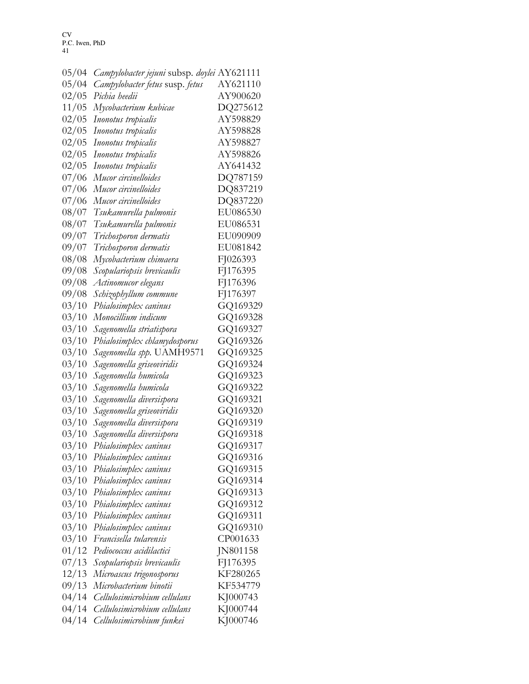| 05/04 | Campylobacter jejuni subsp. doylei AY621111 |          |
|-------|---------------------------------------------|----------|
| 05/04 | Campylobacter fetus susp. fetus             | AY621110 |
| 02/05 | Pichia heedii                               | AY900620 |
| 11/05 | Mycobacterium kubicae                       | DQ275612 |
| 02/05 | Inonotus tropicalis                         | AY598829 |
| 02/05 | Inonotus tropicalis                         | AY598828 |
| 02/05 | Inonotus tropicalis                         | AY598827 |
| 02/05 | Inonotus tropicalis                         | AY598826 |
| 02/05 | Inonotus tropicalis                         | AY641432 |
| 07/06 | Mucor circinelloides                        | DQ787159 |
| 07/06 | Mucor circinelloides                        | DQ837219 |
| 07/06 | Mucor circinelloides                        | DQ837220 |
| 08/07 | Tsukamurella pulmonis                       | EU086530 |
| 08/07 | Tsukamurella pulmonis                       | EU086531 |
| 09/07 | Trichosporon dermatis                       | EU090909 |
| 09/07 | Trichosporon dermatis                       | EU081842 |
| 08/08 | Mycobacterium chimaera                      | FJ026393 |
| 09/08 | Scopulariopsis brevicaulis                  | FJ176395 |
| 09/08 | Actinomucor elegans                         | FJ176396 |
| 09/08 | Schizophyllum commune                       | FJ176397 |
| 03/10 | Phialosimplex caninus                       | GQ169329 |
| 03/10 | Monocillium indicum                         | GQ169328 |
| 03/10 | Sagenomella striatispora                    | GQ169327 |
| 03/10 | Phialosimplex chlamydosporus                | GQ169326 |
| 03/10 | Sagenomella spp. UAMH9571                   | GQ169325 |
| 03/10 | Sagenomella griseoviridis                   | GQ169324 |
| 03/10 | Sagenomella humicola                        | GQ169323 |
| 03/10 | Sagenomella humicola                        | GQ169322 |
| 03/10 | Sagenomella diversispora                    | GQ169321 |
| 03/10 | Sagenomella griseoviridis                   | GQ169320 |
| 03/10 | Sagenomella diversispora                    | GQ169319 |
| 03/10 | Sagenomella diversispora                    | GQ169318 |
| 03/10 | Phialosimplex caninus                       | GQ169317 |
| 03/10 | Phialosimplex caninus                       | GQ169316 |
| 03/10 | Phialosimplex caninus                       | GQ169315 |
| 03/10 | Phialosimplex caninus                       | GQ169314 |
| 03/10 | Phialosimplex caninus                       | GQ169313 |
| 03/10 | Phialosimplex caninus                       | GQ169312 |
| 03/10 | Phialosimplex caninus                       | GQ169311 |
| 03/10 | Phialosimplex caninus                       | GQ169310 |
| 03/10 | Francisella tularensis                      | CP001633 |
| 01/12 | Pediococcus acidilactici                    | JN801158 |
| 07/13 | Scopulariopsis brevicaulis                  | FJ176395 |
| 12/13 | Microascus trigonosporus                    | KF280265 |
| 09/13 | Microbacterium binotii                      | KF534779 |
| 04/14 | Cellulosimicrobium cellulans                | KJ000743 |
| 04/14 | Cellulosimicrobium cellulans                | KJ000744 |
| 04/14 | Cellulosimicrobium funkei                   | KJ000746 |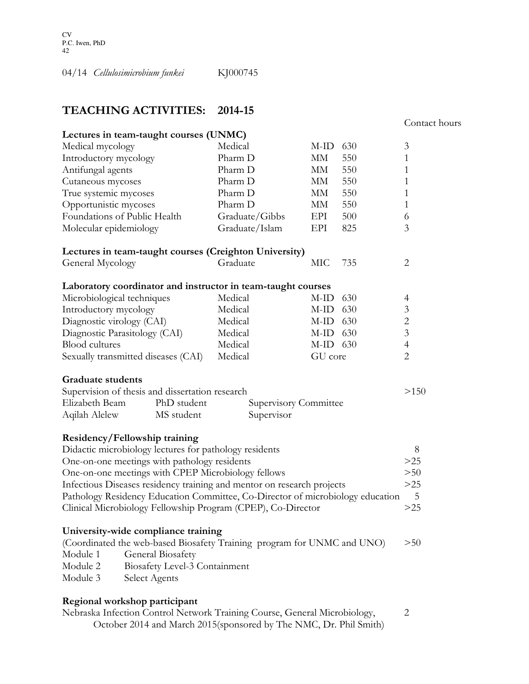04/14 Cellulosimicrobium funkei KJ000745

## TEACHING ACTIVITIES: 2014-15

#### Contact hours

| Lectures in team-taught courses (UNMC)                                         |                                                                   |            |     |                |
|--------------------------------------------------------------------------------|-------------------------------------------------------------------|------------|-----|----------------|
| Medical mycology                                                               | Medical                                                           | M-ID       | 630 | 3              |
| Introductory mycology                                                          | Pharm D                                                           | MМ         | 550 | $\mathbf{1}$   |
| Antifungal agents                                                              | Pharm D                                                           | MМ         | 550 | $\mathbf{1}$   |
| Cutaneous mycoses                                                              | Pharm D                                                           | MМ         | 550 | $\mathbf{1}$   |
| True systemic mycoses                                                          | Pharm D                                                           | MМ         | 550 | $\mathbf{1}$   |
| Opportunistic mycoses                                                          | Pharm D                                                           | MМ         | 550 | $\mathbf{1}$   |
| Foundations of Public Health                                                   | Graduate/Gibbs                                                    | EPI        | 500 | 6              |
| Molecular epidemiology                                                         | Graduate/Islam                                                    | EPI        | 825 | 3              |
| Lectures in team-taught courses (Creighton University)                         |                                                                   |            |     |                |
| General Mycology                                                               | Graduate                                                          | МIС        | 735 | $\overline{2}$ |
| Laboratory coordinator and instructor in team-taught courses                   |                                                                   |            |     |                |
| Microbiological techniques                                                     | Medical                                                           | $M-ID$     | 630 | $\overline{4}$ |
| Introductory mycology                                                          | Medical                                                           | $M-ID$     | 630 | 3              |
| Diagnostic virology (CAI)                                                      | Medical                                                           | $M$ -ID    | 630 | $\overline{c}$ |
| Diagnostic Parasitology (CAI)                                                  | Medical                                                           | $M-ID$ 630 |     | $\mathfrak{Z}$ |
| <b>Blood</b> cultures                                                          | Medical                                                           | $M-ID 630$ |     | $\overline{4}$ |
| Sexually transmitted diseases (CAI)                                            | Medical                                                           | GU core    |     | $\overline{c}$ |
| <b>Graduate students</b>                                                       |                                                                   |            |     |                |
| Supervision of thesis and dissertation research                                |                                                                   |            |     | >150           |
| Elizabeth Beam<br>PhD student<br><b>Supervisory Committee</b>                  |                                                                   |            |     |                |
| Aqilah Alelew<br>MS student                                                    | Supervisor                                                        |            |     |                |
| Residency/Fellowship training                                                  |                                                                   |            |     |                |
| Didactic microbiology lectures for pathology residents                         |                                                                   |            |     | 8              |
| One-on-one meetings with pathology residents                                   |                                                                   |            |     | $>25$          |
| One-on-one meetings with CPEP Microbiology fellows                             |                                                                   |            |     | >50            |
| Infectious Diseases residency training and mentor on research projects         |                                                                   |            |     | $>25$          |
| Pathology Residency Education Committee, Co-Director of microbiology education |                                                                   |            |     | 5              |
| Clinical Microbiology Fellowship Program (CPEP), Co-Director                   |                                                                   |            |     | $>25$          |
| University-wide compliance training                                            |                                                                   |            |     |                |
| (Coordinated the web-based Biosafety Training program for UNMC and UNO)        |                                                                   |            |     | >50            |
| Module 1<br>General Biosafety                                                  |                                                                   |            |     |                |
| Module 2<br>Biosafety Level-3 Containment                                      |                                                                   |            |     |                |
| Module 3<br>Select Agents                                                      |                                                                   |            |     |                |
| Regional workshop participant                                                  |                                                                   |            |     |                |
| Nebraska Infection Control Network Training Course, General Microbiology,      |                                                                   |            |     | 2              |
|                                                                                | October 2014 and March 2015(sponsored by The NMC, Dr. Phil Smith) |            |     |                |